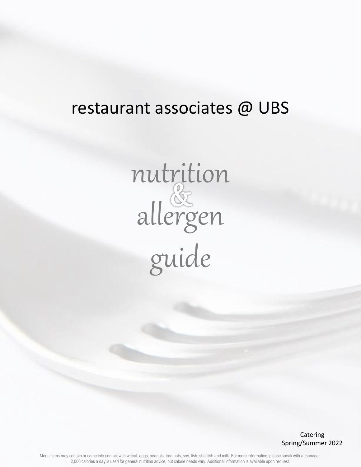## restaurant associates @ UBS

nutrition allergen guide

> Catering Spring/Summer 2022

Menu items may contain or come into contact with wheat, eggs, peanuts, tree nuts, soy, fish, shellfish and milk. For more information, please speak with a manager. 2,000 calories a day is used for general nutrition advice, but calorie needs vary. Additional information is available upon request.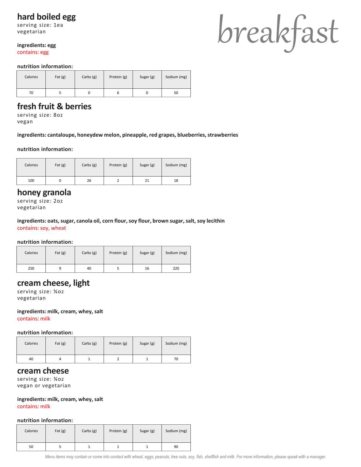## **hard boiled egg**

serving size: 1ea vegetarian

#### **ingredients: egg**

contains: egg

#### **nutrition information:**

| Calories | Fat $(g)$ | Carbs $(g)$ | Protein (g) | Sugar (g) | Sodium (mg) |
|----------|-----------|-------------|-------------|-----------|-------------|
| 70       |           |             |             |           | 50          |

## **fresh fruit & berries**

serving size: 8oz vegan

**ingredients: cantaloupe, honeydew melon, pineapple, red grapes, blueberries, strawberries**

#### **nutrition information:**

| Calories | Fat $(g)$ | Carbs $(g)$ | Protein (g) | Sugar (g) | Sodium (mg) |
|----------|-----------|-------------|-------------|-----------|-------------|
| 100      |           | 26          |             | 21        | 18          |

#### **honey granola**

serving size: 2oz vegetarian

**ingredients: oats, sugar, canola oil, corn flour, soy flour, brown sugar, salt, soy lecithin** contains: soy, wheat

#### **nutrition information:**

| Calories | Fat $(g)$ | Carbs $(g)$ | Protein (g) | Sugar (g) | Sodium (mg) |
|----------|-----------|-------------|-------------|-----------|-------------|
| 250      |           | 40          |             | 16        | 220         |

#### **cream cheese, light**

serving size: ¾oz vegetarian

**ingredients: milk, cream, whey, salt** contains: milk

#### **nutrition information:**

| Calories | Fat $(g)$ | Carbs $(g)$ | Protein (g) | Sugar (g) | Sodium (mg) |
|----------|-----------|-------------|-------------|-----------|-------------|
| 40       |           |             |             |           | 70          |

#### **cream cheese**

serving size: ¾oz vegan or vegetarian

#### **ingredients: milk, cream, whey, salt**

contains: milk

#### **nutrition information:**

| Calories | Fat $(g)$ | Carbs $(g)$ | Protein (g) | Sugar (g) | Sodium (mg) |
|----------|-----------|-------------|-------------|-----------|-------------|
| 50       |           |             |             |           | 90          |

# breakfast

*Menu items may contain or come into contact with wheat, eggs, peanuts, tree nuts, soy, fish, shellfish and milk. For more information, please speak with a manager.*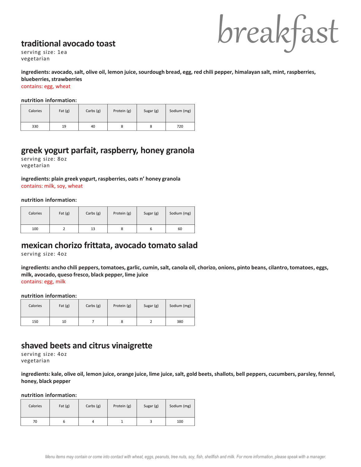## **traditional avocado toast**



serving size: 1ea vegetarian

#### **ingredients: avocado, salt, olive oil, lemon juice, sourdough bread, egg, red chili pepper, himalayan salt, mint, raspberries, blueberries, strawberries**

contains: egg, wheat

#### **nutrition information:**

| Calories | Fat $(g)$ | Carbs $(g)$ | Protein (g) | Sugar (g) | Sodium (mg) |
|----------|-----------|-------------|-------------|-----------|-------------|
| 330      | 19        | 40          |             | 8         | 720         |

#### **greek yogurt parfait, raspberry, honey granola**

serving size: 8oz vegetarian

## **ingredients: plain greek yogurt, raspberries, oats n' honey granola**

contains: milk, soy, wheat

#### **nutrition information:**

| Calories | Fat $(g)$ | Carbs $(g)$ | Protein (g) | Sugar (g) | Sodium (mg) |
|----------|-----------|-------------|-------------|-----------|-------------|
| 100      |           | 13          |             | o         | 60          |

#### **mexican chorizo frittata, avocado tomato salad**

serving size: 4oz

**ingredients: ancho chili peppers, tomatoes, garlic, cumin, salt, canola oil, chorizo, onions, pinto beans, cilantro, tomatoes, eggs, milk, avocado, queso fresco, black pepper, lime juice** contains: egg, milk

#### **nutrition information:**

| Calories | Fat $(g)$ | Carbs $(g)$ | Protein (g) | Sugar (g) | Sodium (mg) |
|----------|-----------|-------------|-------------|-----------|-------------|
| 150      | 10        |             | 8           |           | 380         |

## **shaved beets and citrus vinaigrette**

serving size: 4oz vegetarian

**ingredients: kale, olive oil, lemon juice, orange juice, lime juice, salt, gold beets, shallots, bell peppers, cucumbers, parsley, fennel, honey, black pepper**

| Calories | Fat $(g)$ | Carbs $(g)$ | Protein (g) | Sugar (g) | Sodium (mg) |
|----------|-----------|-------------|-------------|-----------|-------------|
| 70       |           |             |             |           | 100         |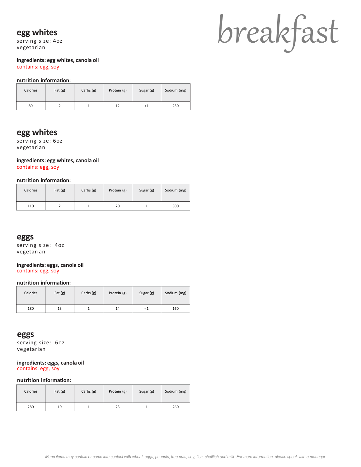#### **egg whites**

serving size: 4oz vegetarian

# breakfast

#### **ingredients: egg whites, canola oil** contains: egg, soy

#### **nutrition information:**

| Calories | Fat $(g)$ | Carbs (g) | Protein (g) | Sugar (g) | Sodium (mg) |
|----------|-----------|-----------|-------------|-----------|-------------|
| 80       |           |           | 12          | ذ>        | 230         |

## **egg whites**

serving size: 6oz vegetarian

#### **ingredients: egg whites, canola oil**

contains: egg, soy

#### **nutrition information:**

| Calories | Fat $(g)$ | Carbs $(g)$ | Protein (g) | Sugar (g) | Sodium (mg) |
|----------|-----------|-------------|-------------|-----------|-------------|
| 110      |           |             | 20          |           | 300         |

#### **eggs**

serving size: 4oz vegetarian

#### **ingredients: eggs, canola oil** contains: egg, soy

#### **nutrition information:**

| Calories | Fat $(g)$ | Carbs $(g)$ | Protein (g) | Sugar (g) | Sodium (mg) |
|----------|-----------|-------------|-------------|-----------|-------------|
| 180      | 13        |             | 14          | ≺⊥        | 160         |

#### **eggs**

serving size: 6oz vegetarian

#### **ingredients: eggs, canola oil** contains: egg, soy

| Calories | Fat $(g)$ | Carbs $(g)$ | Protein (g) | Sugar (g) | Sodium (mg) |
|----------|-----------|-------------|-------------|-----------|-------------|
| 280      | 19        |             | 23          |           | 260         |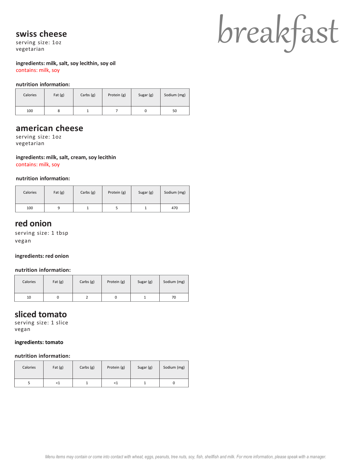#### **swiss cheese**

serving size: 1oz vegetarian

#### **ingredients: milk, salt, soy lecithin, soy oil** contains: milk, soy

#### **nutrition information:**

| Calories | Fat $(g)$ | Carbs $(g)$ | Protein (g) | Sugar (g) | Sodium (mg) |
|----------|-----------|-------------|-------------|-----------|-------------|
| 100      | o         |             |             |           | 50          |

## **american cheese**

serving size: 1oz vegetarian

**ingredients: milk, salt, cream, soy lecithin** contains: milk, soy

#### **nutrition information:**

| Calories | Fat $(g)$ | Carbs $(g)$ | Protein (g) | Sugar (g) | Sodium (mg) |
|----------|-----------|-------------|-------------|-----------|-------------|
| 100      |           |             |             |           | 470         |

#### **red onion**

serving size: 1 tbsp vegan

#### **ingredients: red onion**

#### **nutrition information:**

| Calories | Fat $(g)$ | Carbs $(g)$ | Protein (g) | Sugar (g) | Sodium (mg) |
|----------|-----------|-------------|-------------|-----------|-------------|
| 10       |           |             |             |           | 70          |

#### **sliced tomato**

serving size: 1 slice vegan

#### **ingredients: tomato**

#### **nutrition information:**

| Calories | Fat $(g)$ | Carbs $(g)$ | Protein (g) | Sugar (g) | Sodium (mg) |
|----------|-----------|-------------|-------------|-----------|-------------|
|          | ≺⊥        | ∸           | <1          |           |             |

# breakfast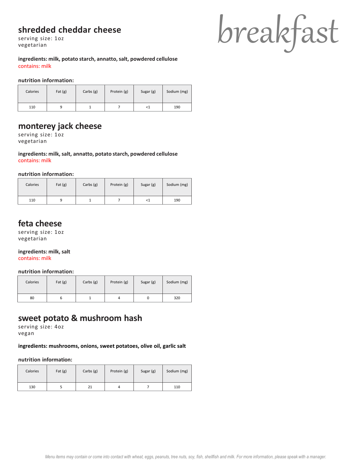## **shredded cheddar cheese**

serving size: 1oz vegetarian

**ingredients: milk, potato starch, annatto, salt, powdered cellulose** contains: milk

#### **nutrition information:**

| Calories | Fat $(g)$ | Carbs $(g)$ | Protein (g) | Sugar (g) | Sodium (mg) |
|----------|-----------|-------------|-------------|-----------|-------------|
| 110      |           |             |             | -51       | 190         |

## **monterey jack cheese**

serving size: 1oz vegetarian

**ingredients: milk, salt, annatto, potato starch, powdered cellulose** contains: milk

**nutrition information:**

| Calories | Fat $(g)$ | Carbs $(g)$ | Protein (g) | Sugar (g) | Sodium (mg) |
|----------|-----------|-------------|-------------|-----------|-------------|
| 110      |           |             |             | ≺1        | 190         |

## **feta cheese**

serving size: 1oz vegetarian

**ingredients: milk, salt**

contains: milk

#### **nutrition information:**

| Calories | Fat $(g)$ | Carbs $(g)$ | Protein (g) | Sugar (g) | Sodium (mg) |
|----------|-----------|-------------|-------------|-----------|-------------|
| 80       |           |             | 4           |           | 320         |

## **sweet potato & mushroom hash**

serving size: 4oz vegan

#### **ingredients: mushrooms, onions, sweet potatoes, olive oil, garlic salt**

| Calories | Fat $(g)$ | Carbs $(g)$ | Protein (g) | Sugar (g) | Sodium (mg) |
|----------|-----------|-------------|-------------|-----------|-------------|
| 130      |           | 21          |             |           | 110         |

breakfast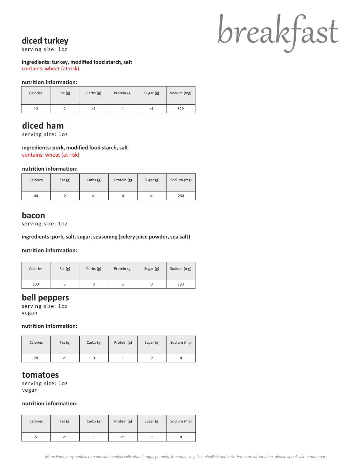## **diced turkey**

serving size: 1oz

#### **ingredients: turkey, modified food starch, salt** contains: wheat (at risk)

#### **nutrition information:**

| Calories | Fat $(g)$ | Carbs $(g)$ | Protein (g) | Sugar (g) | Sodium (mg) |
|----------|-----------|-------------|-------------|-----------|-------------|
| 40       |           | <1          | 4           | <1        | 320         |

## **diced ham**

serving size: 1oz

#### **ingredients: pork, modified food starch, salt**

contains: wheat (at risk)

#### **nutrition information:**

| Calories | Fat $(g)$ | Carbs $(g)$ | Protein (g) | Sugar (g) | Sodium (mg) |
|----------|-----------|-------------|-------------|-----------|-------------|
| 40       |           | 51          | 4           | ${<}1$    | 230         |

#### **bacon**

serving size: 1oz

#### **ingredients: pork, salt, sugar, seasoning (celery juice powder, sea salt)**

**nutrition information:**

| Calories | Fat $(g)$ | Carbs $(g)$ | Protein (g) | Sugar (g) | Sodium (mg) |
|----------|-----------|-------------|-------------|-----------|-------------|
| 100      |           |             | ь           |           | 380         |

#### **bell peppers**

serving size: 1oz vegan

#### **nutrition information:**

| Calories | Fat $(g)$                                           | Carbs $(g)$ | Protein (g) | Sugar (g) | Sodium (mg) |
|----------|-----------------------------------------------------|-------------|-------------|-----------|-------------|
| 20       | <t< td=""><td></td><td></td><td></td><td></td></t<> |             |             |           |             |

#### **tomatoes**

serving size: 1oz vegan

| Calories | Fat $(g)$ | Carbs $(g)$ | Protein (g) | Sugar (g) | Sodium (mg) |
|----------|-----------|-------------|-------------|-----------|-------------|
|          | <1        |             | $<$ 1       |           |             |

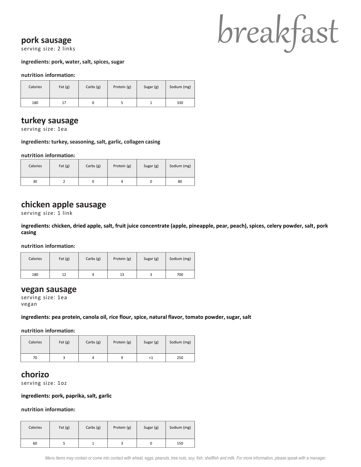#### **pork sausage**

serving size: 2 links

#### **ingredients: pork, water, salt, spices, sugar**

#### **nutrition information:**

| Calories | Fat $(g)$ | Carbs $(g)$ | Protein (g) | Sugar (g) | Sodium (mg) |
|----------|-----------|-------------|-------------|-----------|-------------|
| 180      |           |             |             |           | 330         |

## **turkey sausage**

serving size: 1ea

#### **ingredients: turkey, seasoning, salt, garlic, collagen casing**

**nutrition information:**

| Calories | Fat $(g)$ | Carbs $(g)$ | Protein (g) | Sugar (g) | Sodium (mg) |
|----------|-----------|-------------|-------------|-----------|-------------|
| 30       |           |             | 4           |           | 80          |

## **chicken apple sausage**

serving size: 1 link

**ingredients: chicken, dried apple, salt, fruit juice concentrate (apple, pineapple, pear, peach), spices, celery powder, salt, pork casing**

**nutrition information:**

| Calories | Fat $(g)$ | Carbs $(g)$ | Protein (g) | Sugar (g) | Sodium (mg) |
|----------|-----------|-------------|-------------|-----------|-------------|
| 180      | 12        |             | 13          |           | 700         |

#### **vegan sausage**

serving size: 1ea vegan

#### **ingredients: pea protein, canola oil, rice flour, spice, natural flavor, tomato powder, sugar, salt**

**nutrition information:**

| Calories | Fat $(g)$ | Carbs $(g)$ | Protein (g) | Sugar (g) | Sodium (mg) |
|----------|-----------|-------------|-------------|-----------|-------------|
| 70       |           |             |             | -41       | 250         |

#### **chorizo**

serving size: 1oz

#### **ingredients: pork, paprika, salt, garlic**

| Calories | Fat $(g)$ | Carbs $(g)$ | Protein (g) | Sugar (g) | Sodium (mg) |
|----------|-----------|-------------|-------------|-----------|-------------|
| 60       |           |             |             |           | 150         |

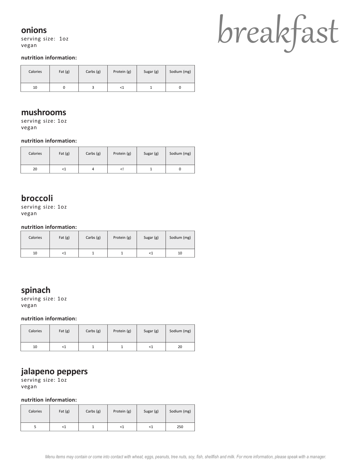#### **onions**

serving size: 1oz vegan

## breakfast

#### **nutrition information:**

| Calories | Fat $(g)$ | Carbs $(g)$ | Protein (g) | Sugar (g) | Sodium (mg) |
|----------|-----------|-------------|-------------|-----------|-------------|
| 10       |           |             | <1          |           |             |

#### **mushrooms**

serving size: 1oz vegan

#### **nutrition information:**

| Calories | Fat $(g)$ | Carbs $(g)$ | Protein (g)              | Sugar (g) | Sodium (mg) |
|----------|-----------|-------------|--------------------------|-----------|-------------|
| 20       | <1        |             | </td <td></td> <td></td> |           |             |

## **broccoli**

serving size: 1oz vegan

**nutrition information:**

| Calories | Fat $(g)$ | Carbs $(g)$ | Protein (g) | Sugar (g) | Sodium (mg) |
|----------|-----------|-------------|-------------|-----------|-------------|
| 10       | -1        |             |             | <1        | 10          |

## **spinach**

serving size: 1oz vegan

**nutrition information:**

| Calories | Fat $(g)$ | Carbs $(g)$ | Protein (g) | Sugar (g) | Sodium (mg) |
|----------|-----------|-------------|-------------|-----------|-------------|
| 10       | ≺⊥        |             |             | <1        | 20          |

## **jalapeno peppers**

serving size: 1oz vegan

| Calories | Fat $(g)$                                                                    | Carbs $(g)$ | Protein (g) | Sugar (g) | Sodium (mg) |
|----------|------------------------------------------------------------------------------|-------------|-------------|-----------|-------------|
|          | <t< td=""><td></td><td><math>{&lt;}1</math></td><td>≺⊥</td><td>250</td></t<> |             | ${<}1$      | ≺⊥        | 250         |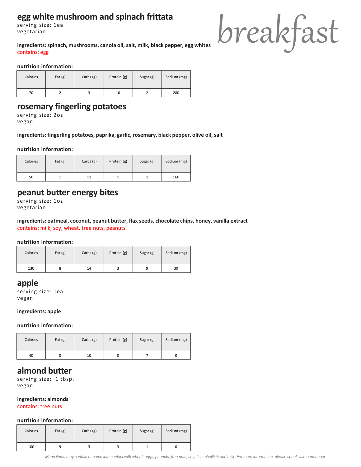## **egg white mushroom and spinach frittata**

serving size: 1ea vegetarian

**ingredients: spinach, mushrooms, canola oil, salt, milk, black pepper, egg whites** contains: egg



**nutrition information:**

| Calories | Fat $(g)$ | Carbs $(g)$ | Protein (g) | Sugar (g) | Sodium (mg) |
|----------|-----------|-------------|-------------|-----------|-------------|
| 70       |           |             | 10          |           | 280         |

## **rosemary fingerling potatoes**

serving size: 2oz vegan

**ingredients: fingerling potatoes, paprika, garlic, rosemary, black pepper, olive oil, salt**

#### **nutrition information:**

| Calories | Fat $(g)$ | Carbs $(g)$ | Protein (g) | Sugar (g) | Sodium (mg) |
|----------|-----------|-------------|-------------|-----------|-------------|
| 50       |           | 11          |             |           | 160         |

#### **peanut butter energy bites**

serving size: 1oz vegetarian

#### **ingredients: oatmeal, coconut, peanut butter, flax seeds, chocolate chips, honey, vanilla extract** contains: milk, soy, wheat, tree nuts, peanuts

#### **nutrition information:**

| Calories | Fat $(g)$ | Carbs $(g)$ | Protein (g) | Sugar (g) | Sodium (mg) |
|----------|-----------|-------------|-------------|-----------|-------------|
| 130      |           | 14          |             |           | 30          |

#### **apple**

serving size: 1ea vegan

#### **ingredients: apple**

#### **nutrition information:**

| Calories | Fat $(g)$ | Carbs $(g)$ | Protein (g) | Sugar (g) | Sodium (mg) |
|----------|-----------|-------------|-------------|-----------|-------------|
| 40       |           | 10          |             |           |             |

## **almond butter**

serving size: 1 tbsp. vegan

#### **ingredients: almonds**

contains: tree nuts

#### **nutrition information:**

| Calories | Fat $(g)$ | Carbs $(g)$ | Protein (g) | Sugar (g) | Sodium (mg) |
|----------|-----------|-------------|-------------|-----------|-------------|
| 100      |           |             |             |           |             |

*Menu items may contain or come into contact with wheat, eggs, peanuts, tree nuts, soy, fish, shellfish and milk. For more information, please speak with a manager.*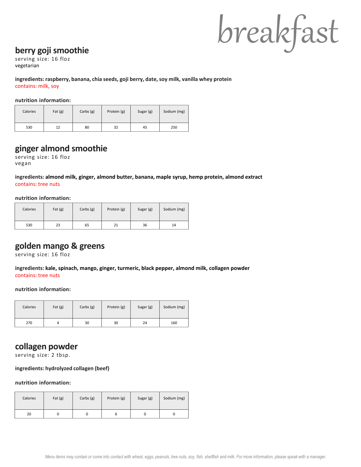## breakfast

## **berry goji smoothie**

serving size: 16 floz vegetarian

**ingredients: raspberry, banana, chia seeds, goji berry, date, soy milk, vanilla whey protein** contains: milk, soy

#### **nutrition information:**

| Calories | Fat $(g)$ | Carbs $(g)$ | Protein (g) | Sugar (g) | Sodium (mg) |
|----------|-----------|-------------|-------------|-----------|-------------|
| 530      | 12        | 80          | 32          | 45        | 250         |

## **ginger almond smoothie**

serving size: 16 floz vegan

**ingredients: almond milk, ginger, almond butter, banana, maple syrup, hemp protein, almond extract** contains: tree nuts

#### **nutrition information:**

| Calories | Fat $(g)$ | Carbs $(g)$ | Protein (g) | Sugar (g) | Sodium (mg) |
|----------|-----------|-------------|-------------|-----------|-------------|
| 530      | 23        | 65          | 21          | 36        | 14          |

## **golden mango & greens**

serving size: 16 floz

**ingredients: kale, spinach, mango, ginger, turmeric, black pepper, almond milk, collagen powder** contains: tree nuts

#### **nutrition information:**

| Calories | Fat $(g)$ | Carbs $(g)$ | Protein (g) | Sugar (g) | Sodium (mg) |
|----------|-----------|-------------|-------------|-----------|-------------|
| 270      |           | 30          | 30          | 24        | 160         |

## **collagen powder**

serving size: 2 tbsp.

#### **ingredients: hydrolyzed collagen (beef)**

| Calories | Fat $(g)$ | Carbs $(g)$ | Protein (g) | Sugar (g) | Sodium (mg) |
|----------|-----------|-------------|-------------|-----------|-------------|
| 20       |           |             |             |           |             |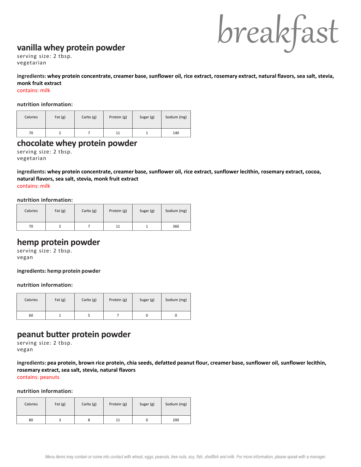## breakfast

#### **vanilla whey protein powder**

serving size: 2 tbsp. vegetarian

**ingredients: whey protein concentrate, creamer base, sunflower oil, rice extract, rosemary extract, natural flavors, sea salt, stevia, monk fruit extract**

contains: milk

#### **nutrition information:**

| Calories | Fat $(g)$ | Carbs $(g)$ | Protein (g) | Sugar (g) | Sodium (mg) |
|----------|-----------|-------------|-------------|-----------|-------------|
| 70       |           |             | 11          |           | 140         |

#### **chocolate whey protein powder**

serving size: 2 tbsp. vegetarian

**ingredients: whey protein concentrate, creamer base, sunflower oil, rice extract, sunflower lecithin, rosemary extract, cocoa, natural flavors, sea salt, stevia, monk fruit extract** contains: milk

**nutrition information:**

| Calories | Fat $(g)$ | Carbs $(g)$ | Protein (g) | Sugar (g) | Sodium (mg) |
|----------|-----------|-------------|-------------|-----------|-------------|
| 70       |           |             | 11          |           | 360         |

#### **hemp protein powder**

serving size: 2 tbsp. vegan

**ingredients: hemp protein powder**

#### **nutrition information:**

| Calories | Fat $(g)$ | Carbs $(g)$ | Protein (g) | Sugar (g) | Sodium (mg) |
|----------|-----------|-------------|-------------|-----------|-------------|
| 60       |           |             |             |           |             |

#### **peanut butter protein powder**

serving size: 2 tbsp. vegan

**ingredients: pea protein, brown rice protein, chia seeds, defatted peanut flour, creamer base, sunflower oil, sunflower lecithin, rosemary extract, sea salt, stevia, natural flavors** contains: peanuts

| Calories | Fat $(g)$ | Carbs $(g)$ | Protein (g) | Sugar (g) | Sodium (mg) |
|----------|-----------|-------------|-------------|-----------|-------------|
| 80       |           |             | 11          |           | 200         |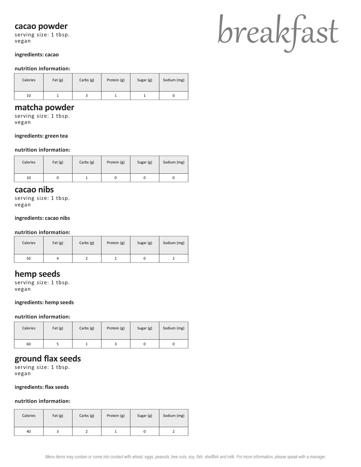#### **cacao powder**

serving size: 1 tbsp. vegan

#### **ingredients: cacao**

#### **nutrition information:**

| Calories | Fat $(g)$ | Carbs $(g)$ | Protein (g) | Sugar (g) | Sodium (mg) |
|----------|-----------|-------------|-------------|-----------|-------------|
| 10       |           |             |             |           |             |

#### **matcha powder**

serving size: 1 tbsp. vegan

#### **ingredients: green tea**

#### **nutrition information:**

| Calories | Fat $(g)$ | Carbs $(g)$ | Protein (g) | Sugar (g) | Sodium (mg) |
|----------|-----------|-------------|-------------|-----------|-------------|
| 10       |           |             |             |           |             |

#### **cacao nibs**

serving size: 1 tbsp. vegan

#### **ingredients: cacao nibs**

#### **nutrition information:**

| Calories | Fat $(g)$ | Carbs $(g)$ | Protein (g) | Sugar (g) | Sodium (mg) |
|----------|-----------|-------------|-------------|-----------|-------------|
| 50       |           |             |             |           |             |

#### **hemp seeds**

serving size: 1 tbsp. vegan

#### **ingredients: hemp seeds**

#### **nutrition information:**

| Calories | Fat $(g)$ | Carbs $(g)$ | Protein (g) | Sugar (g) | Sodium (mg) |
|----------|-----------|-------------|-------------|-----------|-------------|
| 60       |           |             |             |           |             |

#### **ground flax seeds**

serving size: 1 tbsp. vegan

#### **ingredients: flax seeds**

#### **nutrition information:**

| Calories | Fat $(g)$ | Carbs (g) | Protein (g) | Sugar (g) | Sodium (mg) |
|----------|-----------|-----------|-------------|-----------|-------------|
| 40       |           |           |             |           |             |

# breakfast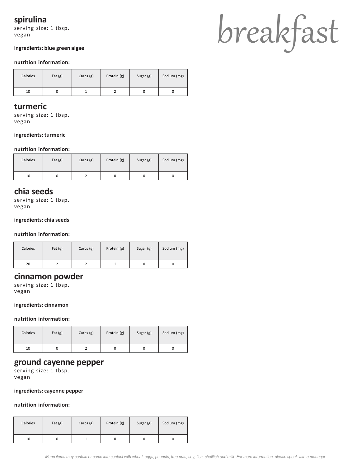## **spirulina**

serving size: 1 tbsp. vegan

#### **ingredients: blue green algae**

#### **nutrition information:**

| Calories | Fat $(g)$ | Carbs $(g)$ | Protein (g) | Sugar (g) | Sodium (mg) |
|----------|-----------|-------------|-------------|-----------|-------------|
| 10       |           |             |             |           |             |

#### **turmeric**

serving size: 1 tbsp. vegan

#### **ingredients: turmeric**

#### **nutrition information:**

| Calories | Fat $(g)$ | Carbs $(g)$ | Protein (g) | Sugar (g) | Sodium (mg) |
|----------|-----------|-------------|-------------|-----------|-------------|
| 10       |           |             |             |           |             |

#### **chia seeds**

serving size: 1 tbsp. vegan

#### **ingredients: chia seeds**

#### **nutrition information:**

| Calories | Fat $(g)$ | Carbs $(g)$ | Protein (g) | Sugar (g) | Sodium (mg) |
|----------|-----------|-------------|-------------|-----------|-------------|
| 20       |           |             |             |           |             |

#### **cinnamon powder**

serving size: 1 tbsp. vegan

#### **ingredients: cinnamon**

#### **nutrition information:**

| Calories | Fat $(g)$ | Carbs $(g)$ | Protein (g) | Sugar (g) | Sodium (mg) |
|----------|-----------|-------------|-------------|-----------|-------------|
| 10       |           |             |             |           |             |

#### **ground cayenne pepper**

serving size: 1 tbsp. vegan

#### **ingredients: cayenne pepper**

| Calories | Fat $(g)$ | Carbs (g) | Protein (g) | Sugar (g) | Sodium (mg) |
|----------|-----------|-----------|-------------|-----------|-------------|
| 10       |           |           |             |           |             |

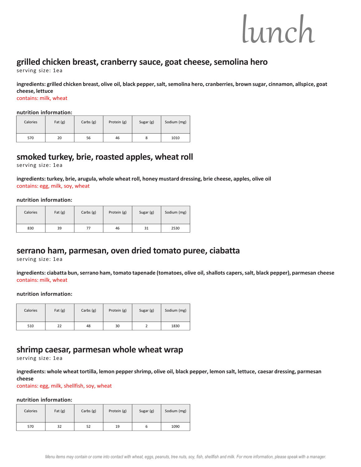## **grilled chicken breast, cranberry sauce, goat cheese, semolina hero**

serving size: 1ea

**ingredients: grilled chicken breast, olive oil, black pepper, salt, semolina hero, cranberries, brown sugar, cinnamon, allspice, goat cheese, lettuce**

contains: milk, wheat

#### **nutrition information:**

| Calories | Fat $(g)$ | Carbs $(g)$ | Protein (g) | Sugar (g) | Sodium (mg) |
|----------|-----------|-------------|-------------|-----------|-------------|
| 570      | 20        | 56          | 46          | 8         | 1010        |

### **smoked turkey, brie, roasted apples, wheat roll**

serving size: 1ea

**ingredients: turkey, brie, arugula, whole wheat roll, honey mustard dressing, brie cheese, apples, olive oil** contains: egg, milk, soy, wheat

**nutrition information:**

| Calories | Fat $(g)$ | Carbs $(g)$ | Protein (g) | Sugar (g) | Sodium (mg) |
|----------|-----------|-------------|-------------|-----------|-------------|
| 830      | 39        |             | 46          | 31        | 2530        |

## **serrano ham, parmesan, oven dried tomato puree, ciabatta**

serving size: 1ea

**ingredients: ciabatta bun, serrano ham, tomato tapenade (tomatoes, olive oil, shallots capers, salt, black pepper), parmesan cheese** contains: milk, wheat

#### **nutrition information:**

| Calories | Fat $(g)$ | Carbs $(g)$ | Protein (g) | Sugar (g) | Sodium (mg) |
|----------|-----------|-------------|-------------|-----------|-------------|
| 510      | 22        | 48          | 30          |           | 1830        |

**shrimp caesar, parmesan whole wheat wrap**

serving size: 1ea

**ingredients: whole wheat tortilla, lemon pepper shrimp, olive oil, black pepper, lemon salt, lettuce, caesar dressing, parmesan cheese**

contains: egg, milk, shellfish, soy, wheat

| Calories | Fat $(g)$ | Carbs $(g)$ | Protein (g) | Sugar (g) | Sodium (mg) |
|----------|-----------|-------------|-------------|-----------|-------------|
| 570      | 32        | 52          | 19          | ь         | 1090        |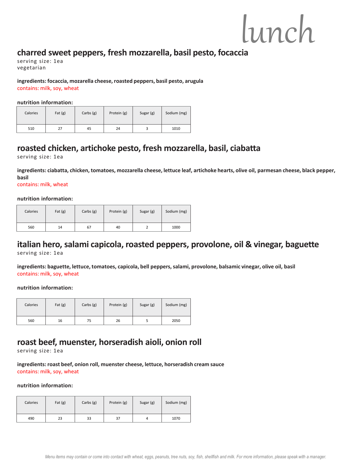## **charred sweet peppers, fresh mozzarella, basil pesto, focaccia**

serving size: 1ea vegetarian

**ingredients: focaccia, mozarella cheese, roasted peppers, basil pesto, arugula** contains: milk, soy, wheat

**nutrition information:**

| Calories | Fat $(g)$ | Carbs $(g)$ | Protein (g) | Sugar (g) | Sodium (mg) |
|----------|-----------|-------------|-------------|-----------|-------------|
| 510      | 27        | 45          | 24          |           | 1010        |

## **roasted chicken, artichoke pesto, fresh mozzarella, basil, ciabatta**

serving size: 1ea

**ingredients: ciabatta, chicken, tomatoes, mozzarella cheese, lettuce leaf, artichoke hearts, olive oil, parmesan cheese, black pepper, basil** 

contains: milk, wheat

#### **nutrition information:**

| Calories | Fat $(g)$ | Carbs $(g)$ | Protein (g) | Sugar (g) | Sodium (mg) |
|----------|-----------|-------------|-------------|-----------|-------------|
| 560      | 14        | 67          | 40          |           | 1000        |

## **italian hero, salami capicola, roasted peppers, provolone, oil & vinegar, baguette**

serving size: 1ea

**ingredients: baguette, lettuce, tomatoes, capicola, bell peppers, salami, provolone, balsamic vinegar, olive oil, basil** contains: milk, soy, wheat

**nutrition information:**

| Calories | Fat $(g)$ | Carbs $(g)$ | Protein (g) | Sugar (g) | Sodium (mg) |
|----------|-----------|-------------|-------------|-----------|-------------|
| 560      | 16        | 75          | 26          |           | 2050        |

## **roast beef, muenster, horseradish aioli, onion roll**

serving size: 1ea

**ingredients: roast beef, onion roll, muenster cheese, lettuce, horseradish cream sauce** contains: milk, soy, wheat

| Calories | Fat $(g)$ | Carbs $(g)$ | Protein (g) | Sugar (g) | Sodium (mg) |
|----------|-----------|-------------|-------------|-----------|-------------|
| 490      | 23        | 33          | 37          | 4         | 1070        |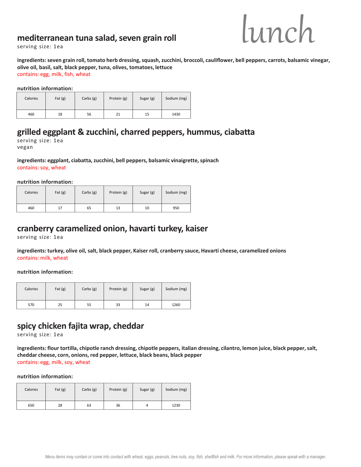## **mediterranean tuna salad, seven grain roll**



serving size: 1ea

**ingredients: seven grain roll, tomato herb dressing, squash, zucchini, broccoli, cauliflower, bell peppers, carrots, balsamic vinegar, olive oil, basil, salt, black pepper, tuna, olives, tomatoes, lettuce** contains: egg, milk, fish, wheat

**nutrition information:**

| Calories | Fat $(g)$ | Carbs $(g)$ | Protein (g) | Sugar (g) | Sodium (mg) |
|----------|-----------|-------------|-------------|-----------|-------------|
| 460      | 18        | 56          | 21          | 15        | 1430        |

## **grilled eggplant & zucchini, charred peppers, hummus, ciabatta**

serving size: 1ea vegan

**ingredients: eggplant, ciabatta, zucchini, bell peppers, balsamic vinaigrette, spinach** contains: soy, wheat

**nutrition information:**

| Calories | Fat $(g)$ | Carbs $(g)$ | Protein (g) | Sugar (g) | Sodium (mg) |
|----------|-----------|-------------|-------------|-----------|-------------|
| 460      | 17        | 65          | 13          | 10        | 950         |

#### **cranberry caramelized onion, havarti turkey, kaiser**

serving size: 1ea

#### **ingredients: turkey, olive oil, salt, black pepper, Kaiser roll, cranberry sauce, Havarti cheese, caramelized onions** contains: milk, wheat

**nutrition information:**

| Calories | Fat $(g)$ | Carbs $(g)$ | Protein (g) | Sugar (g) | Sodium (mg) |
|----------|-----------|-------------|-------------|-----------|-------------|
| 570      | 25        | 55          | 33          | 14        | 1260        |

## **spicy chicken fajita wrap, cheddar**

serving size: 1ea

**ingredients: flour tortilla, chipotle ranch dressing, chipotle peppers, italian dressing, cilantro, lemon juice, black pepper, salt, cheddar cheese, corn, onions, red pepper, lettuce, black beans, black pepper** contains: egg, milk, soy, wheat

| Calories | Fat $(g)$ | Carbs $(g)$ | Protein (g) | Sugar (g) | Sodium (mg) |
|----------|-----------|-------------|-------------|-----------|-------------|
| 650      | 28        | 63          | 36          | 4         | 1230        |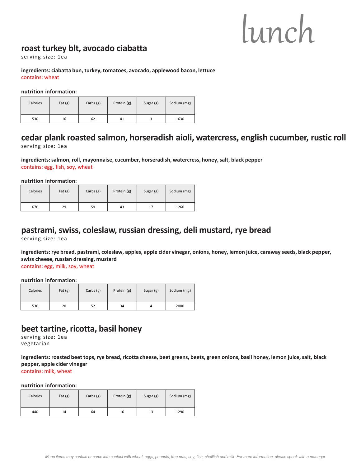## **roast turkey blt, avocado ciabatta**

serving size: 1ea

#### **ingredients: ciabatta bun, turkey, tomatoes, avocado, applewood bacon, lettuce** contains: wheat

#### **nutrition information:**

| Calories | Fat $(g)$ | Carbs $(g)$ | Protein (g) | Sugar (g) | Sodium (mg) |
|----------|-----------|-------------|-------------|-----------|-------------|
| 530      | 16        | 62          | 41          |           | 1630        |

## **cedar plank roasted salmon, horseradish aioli, watercress, english cucumber, rustic roll**

serving size: 1ea

**ingredients: salmon, roll, mayonnaise, cucumber, horseradish, watercress, honey, salt, black pepper** contains: egg, fish, soy, wheat

**nutrition information:**

| Calories | Fat $(g)$ | Carbs $(g)$ | Protein (g) | Sugar (g) | Sodium (mg) |
|----------|-----------|-------------|-------------|-----------|-------------|
| 670      | 29        | 59          | 43          | 17        | 1260        |

## **pastrami, swiss, coleslaw, russian dressing, deli mustard, rye bread**

serving size: 1ea

**ingredients: rye bread, pastrami, coleslaw, apples, apple cider vinegar, onions, honey, lemon juice, caraway seeds, black pepper, swiss cheese, russian dressing, mustard**

contains: egg, milk, soy, wheat

#### **nutrition information:**

| Calories | Fat $(g)$ | Carbs $(g)$ | Protein (g) | Sugar (g) | Sodium (mg) |
|----------|-----------|-------------|-------------|-----------|-------------|
| 530      | 20        | 52          | 34          | 4         | 2000        |

## **beet tartine, ricotta, basil honey**

serving size: 1ea vegetarian

**ingredients: roasted beet tops, rye bread, ricotta cheese, beet greens, beets, green onions, basil honey, lemon juice, salt, black pepper, apple cider vinegar** contains: milk, wheat

| Calories | Fat $(g)$ | Carbs $(g)$ | Protein (g) | Sugar (g) | Sodium (mg) |
|----------|-----------|-------------|-------------|-----------|-------------|
| 440      | 14        | 64          | 16          | 13        | 1290        |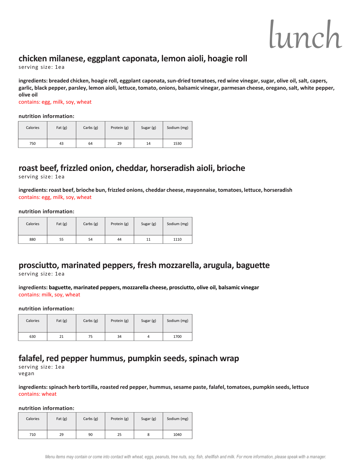## **chicken milanese, eggplant caponata, lemon aioli, hoagie roll**

serving size: 1ea

**ingredients: breaded chicken, hoagie roll, eggplant caponata, sun-dried tomatoes, red wine vinegar, sugar, olive oil, salt, capers, garlic, black pepper, parsley, lemon aioli, lettuce, tomato, onions, balsamic vinegar, parmesan cheese, oregano, salt, white pepper, olive oil**

contains: egg, milk, soy, wheat

#### **nutrition information:**

| Calories | Fat $(g)$ | Carbs $(g)$ | Protein (g) | Sugar (g) | Sodium (mg) |
|----------|-----------|-------------|-------------|-----------|-------------|
| 750      | 43        | 64          | 29          | 14        | 1530        |

## **roast beef, frizzled onion, cheddar, horseradish aioli, brioche**

serving size: 1ea

**ingredients: roast beef, brioche bun, frizzled onions, cheddar cheese, mayonnaise, tomatoes, lettuce, horseradish** contains: egg, milk, soy, wheat

#### **nutrition information:**

| Calories | Fat $(g)$ | Carbs $(g)$ | Protein (g) | Sugar (g) | Sodium (mg) |
|----------|-----------|-------------|-------------|-----------|-------------|
| 880      | 55        | 54          | 44          | 11        | 1110        |

## **prosciutto, marinated peppers, fresh mozzarella, arugula, baguette**

serving size: 1ea

**ingredients: baguette, marinated peppers, mozzarella cheese, prosciutto, olive oil, balsamic vinegar** contains: milk, soy, wheat

#### **nutrition information:**

| Calories | Fat $(g)$ | Carbs $(g)$ | Protein (g) | Sugar (g) | Sodium (mg) |
|----------|-----------|-------------|-------------|-----------|-------------|
| 630      | 21        | 75          | 34          | 4         | 1700        |

### **falafel, red pepper hummus, pumpkin seeds, spinach wrap**

serving size: 1ea vegan

**ingredients: spinach herb tortilla, roasted red pepper, hummus, sesame paste, falafel, tomatoes, pumpkin seeds, lettuce** contains: wheat

| Calories | Fat $(g)$ | Carbs $(g)$ | Protein (g) | Sugar (g) | Sodium (mg) |
|----------|-----------|-------------|-------------|-----------|-------------|
| 710      | 29        | 90          | 25          | 8         | 1040        |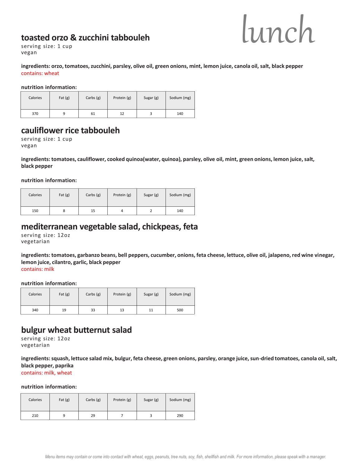## **toasted orzo & zucchini tabbouleh**



serving size: 1 cup vegan

**ingredients: orzo, tomatoes, zucchini, parsley, olive oil, green onions, mint, lemon juice, canola oil, salt, black pepper** contains: wheat

**nutrition information:**

| Calories | Fat $(g)$ | Carbs $(g)$ | Protein (g) | Sugar (g) | Sodium (mg) |
|----------|-----------|-------------|-------------|-----------|-------------|
| 370      |           | 61          | 12          |           | 140         |

## **cauliflower rice tabbouleh**

serving size: 1 cup vegan

**ingredients: tomatoes, cauliflower, cooked quinoa(water, quinoa), parsley, olive oil, mint, green onions, lemon juice, salt, black pepper** 

**nutrition information:**

| Calories | Fat $(g)$ | Carbs $(g)$ | Protein (g) | Sugar (g) | Sodium (mg) |
|----------|-----------|-------------|-------------|-----------|-------------|
| 150      |           | 15          | 4           |           | 140         |

#### **mediterranean vegetable salad, chickpeas, feta**

serving size: 12oz vegetarian

**ingredients: tomatoes, garbanzo beans, bell peppers, cucumber, onions, feta cheese, lettuce, olive oil, jalapeno, red wine vinegar, lemon juice, cilantro, garlic, black pepper** contains: milk

**nutrition information:**

| Calories | Fat $(g)$ | Carbs $(g)$ | Protein (g) | Sugar (g) | Sodium (mg) |
|----------|-----------|-------------|-------------|-----------|-------------|
| 340      | 19        | 33          | 13          | 11        | 500         |

## **bulgur wheat butternut salad**

serving size: 12oz vegetarian

**ingredients: squash, lettuce salad mix, bulgur, feta cheese, green onions, parsley, orange juice, sun-dried tomatoes, canola oil, salt, black pepper, paprika** contains: milk, wheat

| Calories | Fat $(g)$ | Carbs $(g)$ | Protein (g) | Sugar (g) | Sodium (mg) |
|----------|-----------|-------------|-------------|-----------|-------------|
| 210      |           | 29          |             |           | 290         |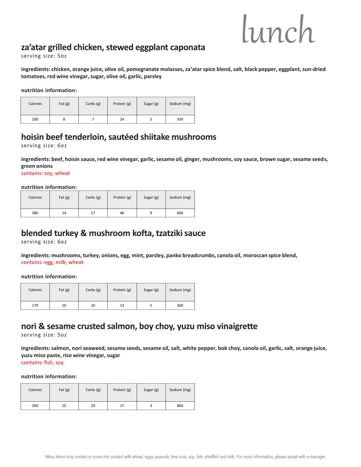## **za'atar grilled chicken, stewed eggplant caponata**

serving size: 5oz

**ingredients: chicken, orange juice, olive oil, pomegranate molasses, za'atarspice blend, salt, black pepper, eggplant, sun-dried tomatoes, red wine vinegar, sugar, olive oil, garlic, parsley**

**nutrition information:**

| Calories | Fat $(g)$ | Carbs $(g)$ | Protein (g) | Sugar (g) | Sodium (mg) |
|----------|-----------|-------------|-------------|-----------|-------------|
| 200      | ο         |             | 24          |           | 330         |

## **hoisin beef tenderloin, sautéed shiitake mushrooms**

serving size: 6oz

**ingredients: beef, hoisin sauce, red wine vinegar, garlic, sesame oil, ginger, mushrooms, soy sauce, brown sugar, sesame seeds, green onions**

contains: soy, wheat

**nutrition information:**

| Calories | Fat $(g)$ | Carbs $(g)$ | Protein (g) | Sugar (g) | Sodium (mg) |
|----------|-----------|-------------|-------------|-----------|-------------|
| 380      | 14        | 17          | 48          | q         | 600         |

## **blended turkey & mushroom kofta, tzatzikisauce**

serving size: 6oz

**ingredients: mushrooms, turkey, onions, egg, mint, parsley, panko breadcrumbs, canola oil, moroccan spice blend,**  contains: egg, milk, wheat

**nutrition information:**

| Calories | Fat $(g)$ | Carbs $(g)$ | Protein (g) | Sugar (g) | Sodium (mg) |
|----------|-----------|-------------|-------------|-----------|-------------|
| 170      | 10        | 10          | 13          |           | 360         |

## **nori & sesame crusted salmon, boy choy, yuzu miso vinaigrette**

serving size: 5oz

**ingredients: salmon, noriseaweed, sesame seeds, sesame oil, salt, white pepper, bok choy, canola oil, garlic, salt, orange juice, yuzu miso paste, rice wine vinegar, sugar** 

contains: fish, soy

| Calories | Fat $(g)$ | Carbs $(g)$ | Protein (g) | Sugar (g) | Sodium (mg) |
|----------|-----------|-------------|-------------|-----------|-------------|
| 360      | 25        | 19          | 17          |           | 860         |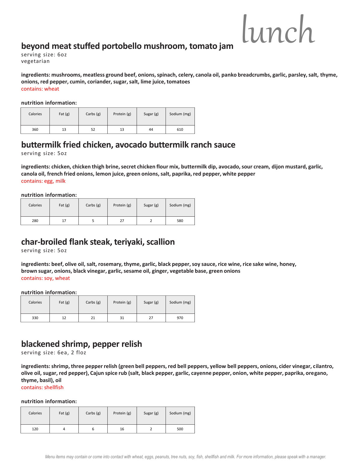## **beyond meat stuffed portobello mushroom, tomato jam**

serving size: 6oz vegetarian

**ingredients: mushrooms, meatless ground beef, onions, spinach, celery, canola oil, panko breadcrumbs, garlic, parsley, salt, thyme, onions, red pepper, cumin, coriander, sugar, salt, lime juice, tomatoes** contains: wheat

**nutrition information:**

| Calories | Fat $(g)$ | Carbs $(g)$ | Protein (g) | Sugar (g) | Sodium (mg) |
|----------|-----------|-------------|-------------|-----------|-------------|
| 360      | 13        | 52          | 13          | 44        | 610         |

## **buttermilk fried chicken, avocado buttermilk ranch sauce**

serving size: 5oz

**ingredients: chicken, chicken thigh brine, secret chicken flour mix, buttermilk dip, avocado, sour cream, dijon mustard, garlic, canola oil, french fried onions, lemon juice, green onions, salt, paprika, red pepper, white pepper** contains: egg, milk

**nutrition information:**

| Calories | Fat $(g)$ | Carbs $(g)$ | Protein (g) | Sugar (g) | Sodium (mg) |
|----------|-----------|-------------|-------------|-----------|-------------|
| 280      | 17        |             | 27          |           | 580         |

## **char-broiled flank steak, teriyaki, scallion**

serving size: 5oz

**ingredients: beef, olive oil, salt, rosemary, thyme, garlic, black pepper, soy sauce, rice wine, rice sake wine, honey, brown sugar, onions, black vinegar, garlic, sesame oil, ginger, vegetable base, green onions** contains: soy, wheat

**nutrition information:**

| Calories | Fat $(g)$ | Carbs $(g)$ | Protein (g) | Sugar (g) | Sodium (mg) |
|----------|-----------|-------------|-------------|-----------|-------------|
| 330      | 12        | 21          | 31          | 27        | 970         |

## **blackened shrimp, pepper relish**

serving size: 6ea, 2 floz

**ingredients: shrimp, three pepper relish (green bell peppers, red bell peppers, yellow bell peppers, onions, cider vinegar, cilantro, olive oil, sugar, red pepper), Cajun spice rub (salt, black pepper, garlic, cayenne pepper, onion, white pepper, paprika, oregano, thyme, basil), oil**

contains: shellfish

| Calories | Fat $(g)$ | Carbs $(g)$ | Protein (g) | Sugar (g) | Sodium (mg) |
|----------|-----------|-------------|-------------|-----------|-------------|
| 120      |           | ь           | 16          |           | 500         |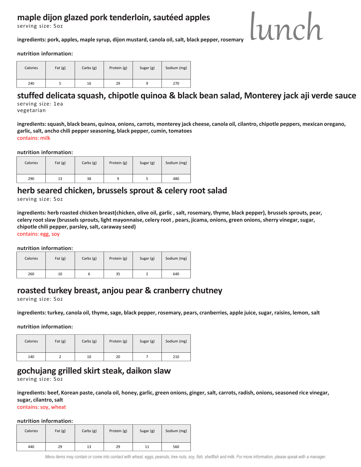## **maple dijon glazed pork tenderloin, sautéed apples**

serving size: 5oz

## lunch

**ingredients: pork, apples, maple syrup, dijon mustard, canola oil, salt, black pepper, rosemary**

**nutrition information:**

| Calories | Fat $(g)$ | Carbs $(g)$ | Protein (g) | Sugar (g) | Sodium (mg) |
|----------|-----------|-------------|-------------|-----------|-------------|
| 240      |           | 16          | 29          |           | 270         |

## **stuffed delicata squash, chipotle quinoa & black bean salad, Monterey jack aji verde sauce**

serving size: 1ea vegetarian

**ingredients: squash, black beans, quinoa, onions, carrots, monterey jack cheese, canola oil, cilantro, chipotle peppers, mexican oregano, garlic, salt, ancho chili pepper seasoning, black pepper, cumin, tomatoes** contains: milk

**nutrition information:**

| Calories | Fat $(g)$ | Carbs $(g)$ | Protein (g) | Sugar (g) | Sodium (mg) |
|----------|-----------|-------------|-------------|-----------|-------------|
| 290      | 13        | 38          |             |           | 480         |

## **herb seared chicken, brussels sprout & celery root salad**

serving size: 5oz

ingredients: herb roasted chicken breast(chicken, olive oil, garlic, salt, rosemary, thyme, black pepper), brussels sprouts, pear, celery root slaw (brussels sprouts, light mayonnaise, celery root, pears, jicama, onions, green onions, sherry vinegar, sugar, **chipotle chili pepper, parsley, salt, caraway seed)**  contains: egg, soy

**nutrition information:**

| Calories | Fat $(g)$ | Carbs $(g)$ | Protein (g) | Sugar (g) | Sodium (mg) |  |  |  |
|----------|-----------|-------------|-------------|-----------|-------------|--|--|--|
| 260      | 10        |             | 35          |           | 640         |  |  |  |

## **roasted turkey breast, anjou pear & cranberry chutney**

serving size: 5oz

**ingredients: turkey, canola oil, thyme, sage, black pepper, rosemary, pears, cranberries, apple juice, sugar, raisins, lemon, salt**

**nutrition information:**

| Calories | Fat $(g)$ | Carbs $(g)$ | Protein (g) | Sugar (g) | Sodium (mg) |
|----------|-----------|-------------|-------------|-----------|-------------|
| 140      |           | 10          | 20          |           | 210         |

## **gochujang grilled skirt steak, daikon slaw**

serving size: 5oz

**ingredients: beef, Korean paste, canola oil, honey, garlic, green onions, ginger, salt, carrots, radish, onions, seasoned rice vinegar, sugar, cilantro, salt**

contains: soy, wheat

#### **nutrition information:**

| Calories | Fat $(g)$ | Carbs $(g)$ | Protein (g) | Sugar (g) | Sodium (mg) |
|----------|-----------|-------------|-------------|-----------|-------------|
| 440      | 29        | 13          | 29          | 11        | 560         |

*Menu items may contain or come into contact with wheat, eggs, peanuts, tree nuts, soy, fish, shellfish and milk. For more information, please speak with a manager.*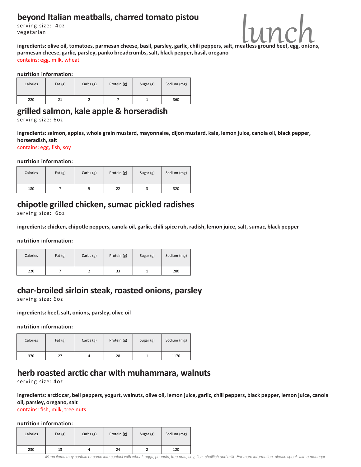## **beyond Italian meatballs, charred tomato pistou**

serving size: 4oz vegetarian



ingredients: olive oil, tomatoes, parmesan cheese, basil, parsley, garlic, chili peppers, salt, meatless ground beef, **parmesan cheese, garlic, parsley, panko breadcrumbs, salt, black pepper, basil, oregano** contains: egg, milk, wheat

#### **nutrition information:**

| Calories | Fat $(g)$ | Carbs $(g)$ | Protein (g) | Sugar (g) | Sodium (mg) |
|----------|-----------|-------------|-------------|-----------|-------------|
| 220      | 21        |             |             |           | 360         |

## **grilled salmon, kale apple & horseradish**

serving size: 6oz

**ingredients: salmon, apples, whole grain mustard, mayonnaise, dijon mustard, kale, lemon juice, canola oil, black pepper, horseradish, salt**

contains: egg, fish, soy

**nutrition information:**

| Calories | Fat $(g)$ | Carbs $(g)$ | Protein (g) | Sugar (g) | Sodium (mg) |
|----------|-----------|-------------|-------------|-----------|-------------|
| 180      |           |             | 22          |           | 320         |

## **chipotle grilled chicken, sumac pickled radishes**

serving size: 6oz

**ingredients: chicken, chipotle peppers, canola oil, garlic, chili spice rub, radish, lemon juice, salt, sumac, black pepper**

**nutrition information:**

| Calories | Fat $(g)$ | Carbs $(g)$ | Protein (g) | Sugar (g) | Sodium (mg) |
|----------|-----------|-------------|-------------|-----------|-------------|
| 220      |           |             | 33          |           | 280         |

## **char-broiled sirloin steak, roasted onions, parsley**

serving size: 6oz

**ingredients: beef, salt, onions, parsley, olive oil**

**nutrition information:**

| Calories | Fat $(g)$ | Carbs $(g)$ | Protein (g) | Sugar (g) | Sodium (mg) |
|----------|-----------|-------------|-------------|-----------|-------------|
| 370      | 27        |             | 28          |           | 1170        |

## **herb roasted arctic char with muhammara, walnuts**

serving size: 4oz

**ingredients: arctic car, bell peppers, yogurt, walnuts, olive oil, lemon juice, garlic, chili peppers, black pepper, lemon juice, canola oil, parsley, oregano, salt**

contains: fish, milk, tree nuts

| Calories | Fat $(g)$ | Carbs $(g)$ | Protein (g) | Sugar (g) | Sodium (mg) |
|----------|-----------|-------------|-------------|-----------|-------------|
| 230      | 13        | 4           | 24          |           | 120         |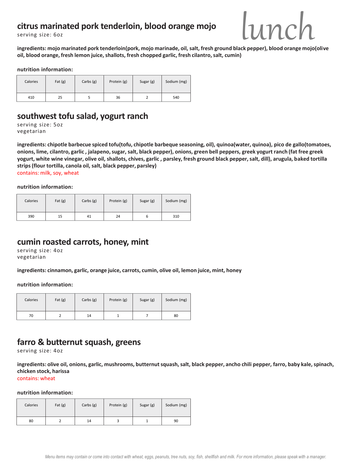## **citrus marinated pork tenderloin, blood orange mojo**

serving size: 6oz



**ingredients: mojo marinated pork tenderloin(pork, mojo marinade, oil, salt, fresh ground black pepper), blood orange mojo(olive oil, blood orange, fresh lemon juice, shallots, fresh chopped garlic, fresh cilantro, salt, cumin)** 

#### **nutrition information:**

| Calories | Fat $(g)$ | Carbs $(g)$ | Protein (g) | Sugar (g) | Sodium (mg) |
|----------|-----------|-------------|-------------|-----------|-------------|
| 410      | 25        |             | 36          |           | 540         |

## **southwest tofu salad, yogurt ranch**

serving size: 5oz vegetarian

**ingredients: chipotle barbecue spiced tofu(tofu, chipotle barbeque seasoning, oil), quinoa(water, quinoa), pico de gallo(tomatoes, onions, lime, cilantro, garlic , jalapeno, sugar, salt, black pepper), onions, green bell peppers, greek yogurt ranch (fat free greek yogurt, white wine vinegar, olive oil, shallots, chives, garlic , parsley, fresh ground black pepper, salt, dill), arugula, baked tortilla strips (flour tortilla, canola oil, salt, black pepper, parsley)** 

contains: milk, soy, wheat

**nutrition information:**

| Calories | Fat $(g)$ | Carbs $(g)$ | Protein (g) | Sugar (g) | Sodium (mg) |
|----------|-----------|-------------|-------------|-----------|-------------|
| 390      | 15        | 41          | 24          |           | 310         |

## **cumin roasted carrots, honey, mint**

serving size: 4oz vegetarian

**ingredients: cinnamon, garlic, orange juice, carrots, cumin, olive oil, lemon juice, mint, honey**

**nutrition information:**

| Calories | Fat $(g)$ | Carbs $(g)$ | Protein (g) | Sugar (g) | Sodium (mg) |
|----------|-----------|-------------|-------------|-----------|-------------|
| 70       |           | 14          |             |           | 80          |

## **farro & butternut squash, greens**

serving size: 4oz

**ingredients: olive oil, onions, garlic, mushrooms, butternut squash, salt, black pepper, ancho chili pepper, farro, baby kale, spinach, chicken stock, harissa** 

contains: wheat

| Calories | Fat $(g)$ | Carbs $(g)$ | Protein (g) | Sugar (g) | Sodium (mg) |
|----------|-----------|-------------|-------------|-----------|-------------|
| 80       |           | 14          |             |           | 90          |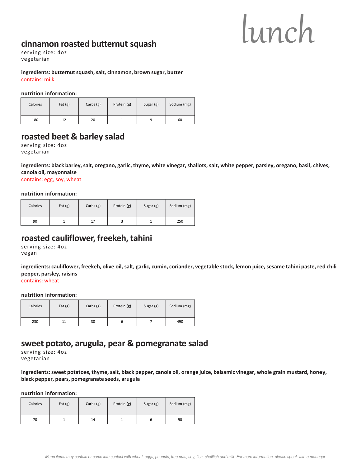## **cinnamon roasted butternut squash**

serving size: 4oz vegetarian

**ingredients: butternut squash, salt, cinnamon, brown sugar, butter** contains: milk

#### **nutrition information:**

| Calories | Fat $(g)$ | Carbs $(g)$ | Protein (g) | Sugar (g) | Sodium (mg) |
|----------|-----------|-------------|-------------|-----------|-------------|
| 180      | 12        | 20          |             |           | 60          |

## **roasted beet & barley salad**

serving size: 4oz vegetarian

**ingredients: black barley, salt, oregano, garlic, thyme, white vinegar, shallots, salt, white pepper, parsley, oregano, basil, chives, canola oil, mayonnaise**

contains: egg, soy, wheat

#### **nutrition information:**

| Calories | Fat $(g)$ | Carbs $(g)$ | Protein (g) | Sugar (g) | Sodium (mg) |
|----------|-----------|-------------|-------------|-----------|-------------|
| 90       |           | 17          |             |           | 250         |

### **roasted cauliflower, freekeh, tahini**

serving size: 4oz vegan

**ingredients: cauliflower, freekeh, olive oil, salt, garlic, cumin, coriander, vegetable stock, lemon juice, sesame tahini paste, red chili pepper, parsley, raisins** contains: wheat

#### **nutrition information:**

| Calories | Fat $(g)$ | Carbs $(g)$ | Protein (g) | Sugar (g) | Sodium (mg) |
|----------|-----------|-------------|-------------|-----------|-------------|
| 230      | 11        | 30          |             |           | 490         |

## **sweet potato, arugula, pear & pomegranate salad**

serving size: 4oz vegetarian

**ingredients: sweet potatoes, thyme, salt, black pepper, canola oil, orange juice, balsamic vinegar, whole grain mustard, honey, black pepper, pears, pomegranate seeds, arugula**

| Calories | Fat $(g)$ | Carbs $(g)$ | Protein (g) | Sugar (g) | Sodium (mg) |
|----------|-----------|-------------|-------------|-----------|-------------|
| 70       |           | 14          |             |           | 90          |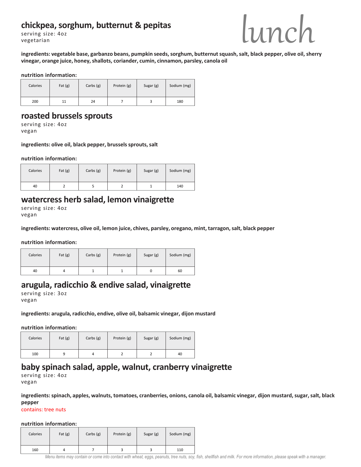## **chickpea, sorghum, butternut & pepitas**

serving size: 4oz vegetarian



**ingredients: vegetable base, garbanzo beans, pumpkin seeds, sorghum, butternut squash, salt, black pepper, olive oil, sherry vinegar, orange juice, honey, shallots, coriander, cumin, cinnamon, parsley, canola oil**

#### **nutrition information:**

| Calories | Fat $(g)$ | Carbs $(g)$ | Protein (g) | Sugar (g) | Sodium (mg) |
|----------|-----------|-------------|-------------|-----------|-------------|
| 200      |           | 24          |             |           | 180         |

#### **roasted brussels sprouts**

serving size: 4oz vegan

#### ingredients: olive oil, black pepper, brussels sprouts, salt

**nutrition information:**

| Calories | Fat $(g)$ | Carbs $(g)$ | Protein (g) | Sugar (g) | Sodium (mg) |
|----------|-----------|-------------|-------------|-----------|-------------|
| 40       |           |             |             |           | 140         |

#### **watercress herb salad, lemon vinaigrette**

serving size: 4oz vegan

**ingredients: watercress, olive oil, lemon juice, chives, parsley, oregano, mint, tarragon, salt, black pepper**

**nutrition information:**

| Calories | Fat $(g)$ | Carbs $(g)$ | Protein (g) | Sugar (g) | Sodium (mg) |
|----------|-----------|-------------|-------------|-----------|-------------|
| 40       |           |             |             |           | 60          |

## **arugula, radicchio & endive salad, vinaigrette**

serving size: 3oz vegan

**ingredients: arugula, radicchio, endive, olive oil, balsamic vinegar, dijon mustard**

**nutrition information:**

| Calories | Fat $(g)$ | Carbs $(g)$ | Protein (g) | Sugar (g) | Sodium (mg) |
|----------|-----------|-------------|-------------|-----------|-------------|
| 100      |           |             |             |           | 40          |

## **baby spinach salad, apple, walnut, cranberry vinaigrette**

serving size: 4oz vegan

**ingredients: spinach, apples, walnuts, tomatoes, cranberries, onions, canola oil, balsamic vinegar, dijon mustard, sugar, salt, black pepper**

contains: tree nuts

| Calories | Fat $(g)$ | Carbs $(g)$ | Protein (g) | Sugar (g) | Sodium (mg) |
|----------|-----------|-------------|-------------|-----------|-------------|
| 160      |           |             |             |           | 110         |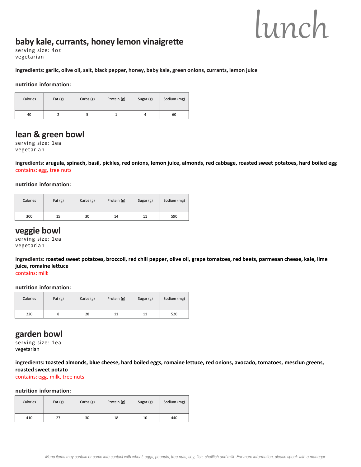## **baby kale, currants, honey lemon vinaigrette**

serving size: 4oz vegetarian

#### **ingredients: garlic, olive oil, salt, black pepper, honey, baby kale, green onions, currants, lemon juice**

**nutrition information:**

| Calories | Fat $(g)$ | Carbs $(g)$ | Protein (g) | Sugar (g) | Sodium (mg) |
|----------|-----------|-------------|-------------|-----------|-------------|
| 40       |           |             |             |           | 60          |

#### **lean & green bowl**

serving size: 1ea vegetarian

**ingredients: arugula, spinach, basil, pickles, red onions, lemon juice, almonds, red cabbage, roasted sweet potatoes, hard boiled egg** contains: egg, tree nuts

**nutrition information:**

| Calories | Fat $(g)$ | Carbs $(g)$ | Protein (g) | Sugar (g) | Sodium (mg) |
|----------|-----------|-------------|-------------|-----------|-------------|
| 300      | 15        | 30          | 14          | 11        | 590         |

#### **veggie bowl**

serving size: 1ea vegetarian

**ingredients: roasted sweet potatoes, broccoli, red chili pepper, olive oil, grape tomatoes, red beets, parmesan cheese, kale, lime juice, romaine lettuce**

contains: milk

#### **nutrition information:**

| Calories | Fat $(g)$ | Carbs $(g)$ | Protein (g) | Sugar (g) | Sodium (mg) |
|----------|-----------|-------------|-------------|-----------|-------------|
| 220      |           | 28          | 11          | 11        | 520         |

#### **garden bowl**

serving size: 1ea vegetarian

**ingredients: toasted almonds, blue cheese, hard boiled eggs, romaine lettuce, red onions, avocado, tomatoes, mesclun greens, roasted sweet potato**

contains: egg, milk, tree nuts

| Calories | Fat $(g)$ | Carbs $(g)$ | Protein (g) | Sugar (g) | Sodium (mg) |
|----------|-----------|-------------|-------------|-----------|-------------|
| 410      | 27        | 30          | 18          | 10        | 440         |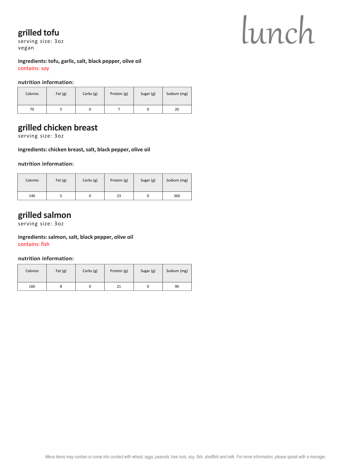## **grilled tofu**

serving size: 3oz vegan

## lunch

**ingredients: tofu, garlic, salt, black pepper, olive oil** contains: soy

#### **nutrition information:**

| Calories | Fat $(g)$ | Carbs $(g)$ | Protein (g) | Sugar (g) | Sodium (mg) |
|----------|-----------|-------------|-------------|-----------|-------------|
| 70       |           |             |             |           | 20          |

## **grilled chicken breast**

serving size: 3oz

#### **ingredients: chicken breast, salt, black pepper, olive oil**

**nutrition information:**

| Calories | Fat $(g)$ | Carbs $(g)$ | Protein (g) | Sugar (g) | Sodium (mg) |
|----------|-----------|-------------|-------------|-----------|-------------|
| 140      |           |             | 23          | u         | 360         |

## **grilled salmon**

serving size: 3oz

## **ingredients: salmon, salt, black pepper, olive oil**

contains: fish

| Calories | Fat $(g)$ | Carbs $(g)$ | Protein (g) | Sugar (g) | Sodium (mg) |
|----------|-----------|-------------|-------------|-----------|-------------|
| 160      |           |             | 21          |           | 90          |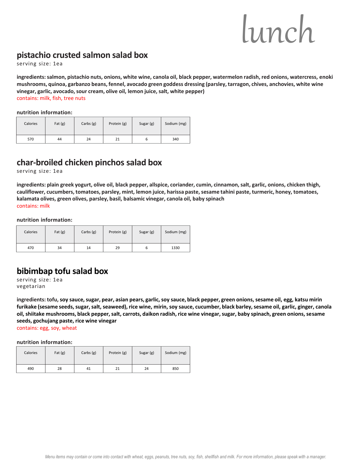## **pistachio crusted salmon salad box**

serving size: 1ea

**ingredients: salmon, pistachio nuts, onions, white wine, canola oil, black pepper, watermelon radish, red onions, watercress, enoki mushrooms, quinoa, garbanzo beans, fennel, avocado green goddess dressing (parsley, tarragon, chives, anchovies, white wine vinegar, garlic, avocado, sour cream, olive oil, lemon juice, salt, white pepper)** contains: milk, fish, tree nuts

**nutrition information:**

| Calories | Fat $(g)$ | Carbs $(g)$ | Protein (g) | Sugar (g) | Sodium (mg) |
|----------|-----------|-------------|-------------|-----------|-------------|
| 570      | 44        | 24          | 21          |           | 340         |

## **char-broiled chicken pinchos salad box**

serving size: 1ea

**ingredients: plain greek yogurt, olive oil, black pepper, allspice, coriander, cumin, cinnamon, salt, garlic, onions, chicken thigh, cauliflower, cucumbers, tomatoes, parsley, mint, lemon juice, harissa paste, sesame tahini paste, turmeric, honey, tomatoes, kalamata olives, green olives, parsley, basil, balsamic vinegar, canola oil, baby spinach**  contains: milk

**nutrition information:**

| Calories | Fat $(g)$ | Carbs $(g)$ | Protein (g) | Sugar (g) | Sodium (mg) |
|----------|-----------|-------------|-------------|-----------|-------------|
| 470      | 34        | 14          | 29          | ь         | 1330        |

## **bibimbap tofu salad box**

serving size: 1ea vegetarian

**ingredients: tofu, soy sauce, sugar, pear, asian pears, garlic, soy sauce, black pepper, green onions, sesame oil, egg, katsu mirin furikake (sesame seeds, sugar, salt, seaweed), rice wine, mirin, soy sauce, cucumber, black barley, sesame oil, garlic, ginger, canola oil, shiitake mushrooms, black pepper, salt, carrots, daikon radish, rice wine vinegar, sugar, baby spinach, green onions, sesame seeds, gochujang paste, rice wine vinegar** 

contains: egg, soy, wheat

| Calories | Fat $(g)$ | Carbs $(g)$ | Protein (g) | Sugar (g) | Sodium (mg) |
|----------|-----------|-------------|-------------|-----------|-------------|
| 490      | 28        | 41          | 21          | 24        | 850         |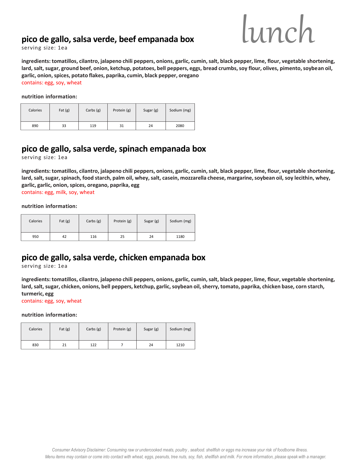## **pico de gallo, salsa verde, beef empanada box**



serving size: 1ea

**ingredients: tomatillos, cilantro, jalapeno chili peppers, onions, garlic, cumin, salt, black pepper, lime, flour, vegetable shortening, lard, salt, sugar, ground beef, onion, ketchup, potatoes, bell peppers, eggs, bread crumbs, soy flour, olives, pimento, soybean oil, garlic, onion, spices, potato flakes, paprika, cumin, black pepper, oregano** contains: egg, soy, wheat

**nutrition information:**

| Calories | Fat $(g)$ | Carbs $(g)$ | Protein (g) | Sugar (g) | Sodium (mg) |
|----------|-----------|-------------|-------------|-----------|-------------|
| 890      | 33        | 119         | 31          | 24        | 2080        |

## **pico de gallo, salsa verde, spinach empanada box**

serving size: 1ea

**ingredients: tomatillos, cilantro, jalapeno chili peppers, onions, garlic, cumin, salt, black pepper, lime, flour, vegetable shortening, lard, salt, sugar, spinach, food starch, palm oil, whey, salt, casein, mozzarella cheese, margarine, soybean oil, soy lecithin, whey, garlic, garlic, onion, spices, oregano, paprika, egg** contains: egg, milk, soy, wheat

**nutrition information:**

| Calories | Fat $(g)$ | Carbs (g) | Protein (g) | Sugar (g) | Sodium (mg) |
|----------|-----------|-----------|-------------|-----------|-------------|
| 950      | 42        | 116       | 25          | 24        | 1180        |

## **pico de gallo, salsa verde, chicken empanada box**

serving size: 1ea

**ingredients: tomatillos, cilantro, jalapeno chili peppers, onions, garlic, cumin, salt, black pepper, lime, flour, vegetable shortening, lard, salt, sugar, chicken, onions, bell peppers, ketchup, garlic, soybean oil, sherry, tomato, paprika, chicken base, corn starch, turmeric, egg**

contains: egg, soy, wheat

| Calories | Fat $(g)$ | Carbs $(g)$ | Protein (g) | Sugar (g) | Sodium (mg) |
|----------|-----------|-------------|-------------|-----------|-------------|
| 830      | 21        | 122         |             | 24        | 1210        |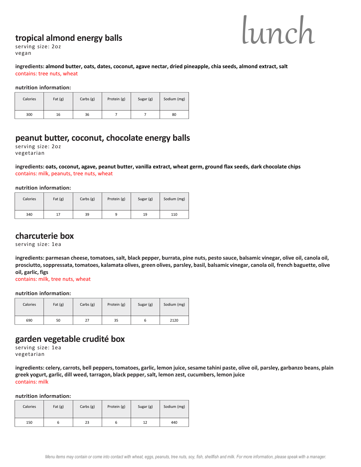### **tropical almond energy balls**



serving size: 2oz vegan

#### **ingredients: almond butter, oats, dates, coconut, agave nectar, dried pineapple, chia seeds, almond extract, salt** contains: tree nuts, wheat

**nutrition information:**

| Calories | Fat $(g)$ | Carbs $(g)$ | Protein (g) | Sugar (g) | Sodium (mg) |
|----------|-----------|-------------|-------------|-----------|-------------|
| 300      | 16        | 36          |             |           | 80          |

## **peanut butter, coconut, chocolate energy balls**

serving size: 2oz vegetarian

**ingredients: oats, coconut, agave, peanut butter, vanilla extract, wheat germ, ground flax seeds, dark chocolate chips** contains: milk, peanuts, tree nuts, wheat

#### **nutrition information:**

| Calories | Fat $(g)$ | Carbs $(g)$ | Protein (g) | Sugar (g) | Sodium (mg) |
|----------|-----------|-------------|-------------|-----------|-------------|
| 340      | 17        | 39          | a           | 19        | 110         |

### **charcuterie box**

serving size: 1ea

**ingredients: parmesan cheese, tomatoes, salt, black pepper, burrata, pine nuts, pesto sauce, balsamic vinegar, olive oil, canola oil, prosciutto, soppressata, tomatoes, kalamata olives, green olives, parsley, basil, balsamic vinegar, canola oil, french baguette, olive oil, garlic, figs**

contains: milk, tree nuts, wheat

#### **nutrition information:**

| Calories | Fat $(g)$ | Carbs $(g)$ | Protein (g) | Sugar (g) | Sodium (mg) |
|----------|-----------|-------------|-------------|-----------|-------------|
| 690      | 50        | 27          | 35          | ь         | 2120        |

#### **garden vegetable crudité box**

serving size: 1ea vegetarian

**ingredients: celery, carrots, bell peppers, tomatoes, garlic, lemon juice, sesame tahini paste, olive oil, parsley, garbanzo beans, plain greek yogurt, garlic, dill weed, tarragon, black pepper, salt, lemon zest, cucumbers, lemon juice** contains: milk

| Calories | Fat $(g)$ | Carbs $(g)$ | Protein (g) | Sugar (g) | Sodium (mg) |
|----------|-----------|-------------|-------------|-----------|-------------|
| 150      |           | 23          |             | 12        | 440         |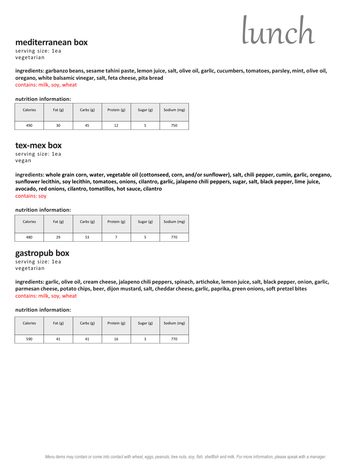#### **mediterranean box**



serving size: 1ea vegetarian

**ingredients: garbanzo beans, sesame tahini paste, lemon juice, salt, olive oil, garlic, cucumbers, tomatoes, parsley, mint, olive oil, oregano, white balsamic vinegar, salt, feta cheese, pita bread** contains: milk, soy, wheat

#### **nutrition information:**

| Calories | Fat $(g)$ | Carbs $(g)$ | Protein (g) | Sugar (g) | Sodium (mg) |
|----------|-----------|-------------|-------------|-----------|-------------|
| 490      | 30        | 45          | 12          |           | 750         |

#### **tex-mex box**

serving size: 1ea vegan

**ingredients: whole grain corn, water, vegetable oil (cottonseed, corn, and/or sunflower), salt, chili pepper, cumin, garlic, oregano, sunflower lecithin, soy lecithin, tomatoes, onions, cilantro, garlic, jalapeno chili peppers, sugar, salt, black pepper, lime juice, avocado, red onions, cilantro, tomatillos, hot sauce, cilantro** contains: soy

**nutrition information:**

| Calories | Fat $(g)$ | Carbs $(g)$ | Protein (g) | Sugar (g) | Sodium (mg) |
|----------|-----------|-------------|-------------|-----------|-------------|
| 480      | 29        | 53          |             |           | 770         |

#### **gastropub box**

serving size: 1ea vegetarian

**ingredients: garlic, olive oil, cream cheese, jalapeno chili peppers, spinach, artichoke, lemon juice, salt, black pepper, onion, garlic, parmesan cheese, potato chips, beer, dijon mustard, salt, cheddar cheese, garlic, paprika, green onions, soft pretzel bites**  contains: milk, soy, wheat

| Calories | Fat $(g)$ | Carbs $(g)$ | Protein (g) | Sugar (g) | Sodium (mg) |
|----------|-----------|-------------|-------------|-----------|-------------|
| 590      | 41        | 41          | 16          |           | 770         |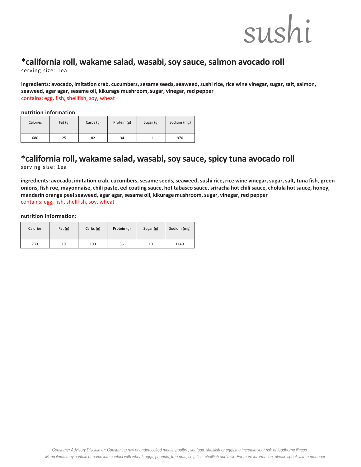## sushi

## **\*california roll, wakame salad, wasabi, soy sauce, salmon avocado roll**

serving size: 1ea

**ingredients: avocado, imitation crab, cucumbers, sesame seeds, seaweed, sushi rice, rice wine vinegar, sugar, salt, salmon, seaweed, agar agar, sesame oil, kikurage mushroom, sugar, vinegar, red pepper** contains: egg, fish, shellfish, soy, wheat

#### **nutrition information:**

| Calories | Fat $(g)$ | Carbs $(g)$ | Protein (g) | Sugar (g) | Sodium (mg) |
|----------|-----------|-------------|-------------|-----------|-------------|
| 680      | 25        | 82          | 34          | 11        | 970         |

## **\*california roll, wakame salad, wasabi, soy sauce, spicy tuna avocado roll**

serving size: 1ea

**ingredients: avocado, imitation crab, cucumbers, sesame seeds, seaweed, sushi rice, rice wine vinegar, sugar, salt, tuna fish, green onions, fish roe, mayonnaise, chili paste, eel coating sauce, hot tabasco sauce, sriracha hot chili sauce, cholula hot sauce, honey, mandarin orange peel seaweed, agar agar, sesame oil, kikurage mushroom, sugar, vinegar, red pepper** contains: egg, fish, shellfish, soy, wheat

| Calories | Fat $(g)$ | Carbs $(g)$ | Protein (g) | Sugar (g) | Sodium (mg) |
|----------|-----------|-------------|-------------|-----------|-------------|
| 730      | 19        | 100         | 35          | 10        | 1140        |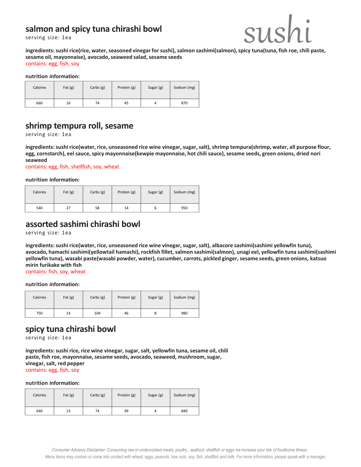## **salmon and spicy tuna chirashi bowl**

serving size: 1ea



**sesame oil, mayonnaise), avocado, seaweed salad, sesame seeds**  contains: egg, fish, soy

#### **nutrition information:**

| Calories | Fat $(g)$ | Carbs (g) | Protein (g) | Sugar (g) | Sodium (mg) |
|----------|-----------|-----------|-------------|-----------|-------------|
| 660      | 16        | 74        | 45          | 4         | 870         |

## **shrimp tempura roll, sesame**

serving size: 1ea

**ingredients: sushi rice(water, rice, unseasoned rice wine vinegar, sugar, salt), shrimp tempura(shrimp, water, all purpose flour, egg, cornstarch), eel sauce, spicy mayonnaise(kewpie mayonnaise, hot chili sauce), sesame seeds, green onions, dried nori seaweed** 

contains: egg, fish, shellfish, soy, wheat

**nutrition information:**

| Calories | Fat $(g)$ | Carbs $(g)$ | Protein (g) | Sugar (g) | Sodium (mg) |
|----------|-----------|-------------|-------------|-----------|-------------|
| 540      | 27        | 58          | 14          | o         | 950         |

## **assorted sashimi chirashi bowl**

serving size: 1ea

**ingredients: sushi rice(water, rice, unseasoned rice wine vinegar, sugar, salt), albacore sashimi(sashimi yellowfin tuna), avocado, hamachisashimi(yellowtail hamachi), rockfish fillet, salmon sashimi(salmon), unagi eel, yellowfin tuna sashimi(sashimi yellowfin tuna), wasabi paste(wasabi powder, water), cucumber, carrots, pickled ginger, sesame seeds, green onions, katsuo mirin furikake with fish**

contains: fish, soy, wheat

#### **nutrition information:**

| Calories | Fat $(g)$ | Carbs $(g)$ | Protein (g) | Sugar (g) | Sodium (mg) |
|----------|-----------|-------------|-------------|-----------|-------------|
| 750      | 14        | 104         | 46          | δ         | 980         |

## **spicy tuna chirashi bowl**

serving size: 1ea

**ingredients: sushi rice, rice wine vinegar, sugar, salt, yellowfin tuna, sesame oil, chili paste, fish roe, mayonnaise, sesame seeds, avocado, seaweed, mushroom, sugar, vinegar, salt, red pepper** contains: egg, fish, soy

| Calories | Fat $(g)$ | Carbs $(g)$ | Protein (g) | Sugar (g) | Sodium (mg) |
|----------|-----------|-------------|-------------|-----------|-------------|
| 640      | 13        | 74          | 49          | 4         | 840         |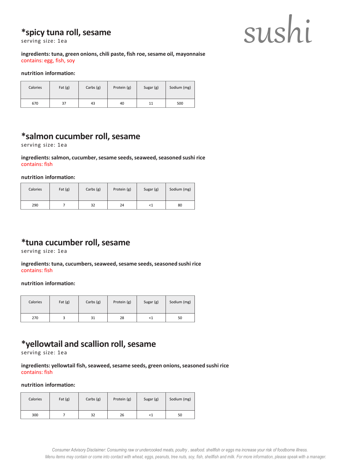## **\*spicy tuna roll, sesame**

serving size: 1ea



**ingredients: tuna, green onions, chili paste, fish roe, sesame oil, mayonnaise** contains: egg, fish, soy

#### **nutrition information:**

| Calories | Fat $(g)$ | Carbs $(g)$ | Protein (g) | Sugar (g) | Sodium (mg) |
|----------|-----------|-------------|-------------|-----------|-------------|
| 670      | 37        | 43          | 40          | 11        | 500         |

## **\*salmon cucumber roll, sesame**

serving size: 1ea

**ingredients: salmon, cucumber, sesame seeds, seaweed, seasoned sushi rice** contains: fish

**nutrition information:**

| Calories | Fat $(g)$ | Carbs $(g)$ | Protein (g) | Sugar (g) | Sodium (mg) |
|----------|-----------|-------------|-------------|-----------|-------------|
| 290      |           | 32          | 24          | <1        | 80          |

## **\*tuna cucumber roll, sesame**

serving size: 1ea

**ingredients: tuna, cucumbers, seaweed, sesame seeds, seasoned sushi rice** contains: fish

**nutrition information:**

| Calories | Fat $(g)$ | Carbs $(g)$ | Protein (g) | Sugar (g) | Sodium (mg) |
|----------|-----------|-------------|-------------|-----------|-------------|
| 270      |           | 31          | 28          | ≺1        | 50          |

## **\*yellowtail and scallion roll, sesame**

serving size: 1ea

**ingredients: yellowtail fish, seaweed, sesame seeds, green onions, seasoned sushi rice** contains: fish

| Calories | Fat $(g)$ | Carbs $(g)$ | Protein (g) | Sugar (g) | Sodium (mg) |
|----------|-----------|-------------|-------------|-----------|-------------|
| 300      |           | 32          | 26          | <1        | 50          |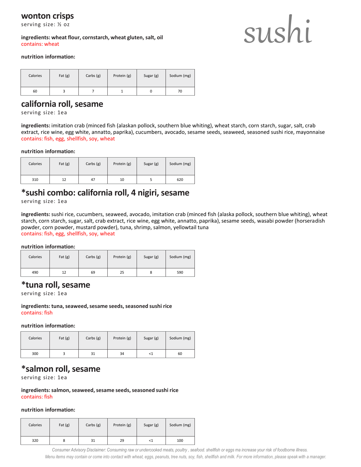#### **wonton crisps**

serving size: ½ oz

**ingredients: wheat flour, cornstarch, wheat gluten, salt, oil** contains: wheat

## sushi

#### **nutrition information:**

| Calories | Fat $(g)$ | Carbs $(g)$ | Protein (g) | Sugar (g) | Sodium (mg) |
|----------|-----------|-------------|-------------|-----------|-------------|
| 60       |           |             |             |           | 70          |

#### **california roll, sesame**

serving size: 1ea

**ingredients:** imitation crab (minced fish (alaskan pollock, southern blue whiting), wheat starch, corn starch, sugar, salt, crab extract, rice wine, egg white, annatto, paprika), cucumbers, avocado, sesame seeds, seaweed, seasoned sushi rice, mayonnaise contains: fish, egg, shellfish, soy, wheat

#### **nutrition information:**

| Calories | Fat $(g)$ | Carbs $(g)$ | Protein (g) | Sugar (g) | Sodium (mg) |
|----------|-----------|-------------|-------------|-----------|-------------|
| 310      | 12        | 47          | 10          |           | 620         |

## **\*sushi combo: california roll, 4 nigiri, sesame**

serving size: 1ea

**ingredients:** sushi rice, cucumbers, seaweed, avocado, imitation crab (minced fish (alaska pollock, southern blue whiting), wheat starch, corn starch, sugar, salt, crab extract, rice wine, egg white, annatto, paprika), sesame seeds, wasabi powder (horseradish powder, corn powder, mustard powder), tuna, shrimp, salmon, yellowtail tuna contains: fish, egg, shellfish, soy, wheat

**nutrition information:**

| Calories | Fat $(g)$ | Carbs $(g)$ | Protein (g) | Sugar (g) | Sodium (mg) |
|----------|-----------|-------------|-------------|-----------|-------------|
| 490      | 12        | 69          | 25          | 8         | 590         |

#### **\*tuna roll, sesame**

serving size: 1ea

**ingredients: tuna, seaweed, sesame seeds, seasoned sushi rice** contains: fish

**nutrition information:**

| Calories | Fat $(g)$ | Carbs $(g)$ | Protein (g) | Sugar (g) | Sodium (mg) |
|----------|-----------|-------------|-------------|-----------|-------------|
| 300      |           | 31          | 34          | -1        | 60          |

## **\*salmon roll, sesame**

serving size: 1ea

**ingredients: salmon, seaweed, sesame seeds, seasoned sushi rice** contains: fish

#### **nutrition information:**

| Calories | Fat $(g)$ | Carbs $(g)$ | Protein (g) | Sugar (g) | Sodium (mg) |
|----------|-----------|-------------|-------------|-----------|-------------|
| 320      |           | 31          | 29          | <1        | 100         |

*Menu items may contain or come into contact with wheat, eggs, peanuts, tree nuts, soy, fish, shellfish and milk. For more information, please speak with a manager. Consumer Advisory Disclaimer: Consuming raw or undercooked meats, poultry , seafood. shellfish or eggs ma increase your risk of foodborne illness.*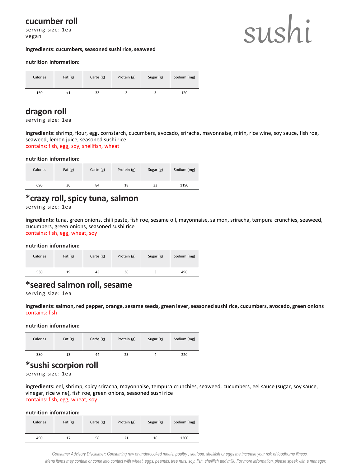## **cucumber roll**

serving size: 1ea vegan

## sushi

#### **ingredients: cucumbers, seasoned sushi rice, seaweed**

#### **nutrition information:**

| Calories | Fat $(g)$ | Carbs $(g)$ | Protein (g) | Sugar (g) | Sodium (mg) |
|----------|-----------|-------------|-------------|-----------|-------------|
| 150      | 77        | 33          |             |           | 120         |

#### **dragon roll**

serving size: 1ea

**ingredients:** shrimp, flour, egg, cornstarch, cucumbers, avocado, sriracha, mayonnaise, mirin, rice wine, soy sauce, fish roe, seaweed, lemon juice, seasoned sushi rice contains: fish, egg, soy, shellfish, wheat

#### **nutrition information:**

| Calories | Fat $(g)$ | Carbs $(g)$ | Protein (g) | Sugar (g) | Sodium (mg) |
|----------|-----------|-------------|-------------|-----------|-------------|
| 690      | 30        | 84          | 18          | 33        | 1190        |

## **\*crazy roll, spicy tuna, salmon**

serving size: 1ea

**ingredients:** tuna, green onions, chili paste, fish roe, sesame oil, mayonnaise, salmon, sriracha, tempura crunchies, seaweed, cucumbers, green onions, seasoned sushi rice contains: fish, egg, wheat, soy

**nutrition information:**

| Calories | Fat $(g)$ | Carbs $(g)$ | Protein (g) | Sugar (g) | Sodium (mg) |
|----------|-----------|-------------|-------------|-----------|-------------|
| 530      | 19        | 43          | 36          |           | 490         |

## **\*seared salmon roll, sesame**

serving size: 1ea

**ingredients: salmon, red pepper, orange, sesame seeds, green laver, seasoned sushi rice, cucumbers, avocado, green onions** contains: fish

**nutrition information:**

| Calories | Fat $(g)$ | Carbs $(g)$ | Protein (g) | Sugar (g) | Sodium (mg) |
|----------|-----------|-------------|-------------|-----------|-------------|
| 380      | 13        | 44          | 23          |           | 220         |

### **\*sushi scorpion roll**

serving size: 1ea

**ingredients:** eel, shrimp, spicy sriracha, mayonnaise, tempura crunchies, seaweed, cucumbers, eel sauce (sugar, soy sauce, vinegar, rice wine), fish roe, green onions, seasoned sushi rice contains: fish, egg, wheat, soy

#### **nutrition information:**

| Calories | Fat $(g)$ | Carbs $(g)$ | Protein (g) | Sugar (g) | Sodium (mg) |
|----------|-----------|-------------|-------------|-----------|-------------|
| 490      | 17        | 58          | 21          | 16        | 1300        |

*Menu items may contain or come into contact with wheat, eggs, peanuts, tree nuts, soy, fish, shellfish and milk. For more information, please speak with a manager. Consumer Advisory Disclaimer: Consuming raw or undercooked meats, poultry , seafood. shellfish or eggs ma increase your risk of foodborne illness.*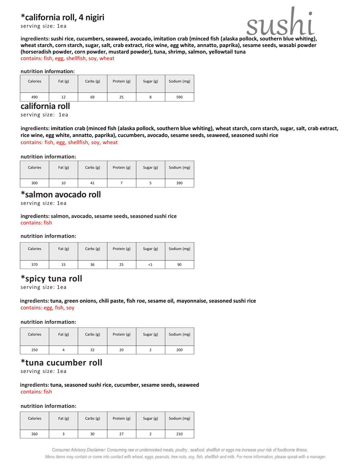## **\*california roll, 4 nigiri**

serving size: 1ea



**\*california roll, 4 nigiri**<br>
serving size: 1ea<br>
ingredients: sushi rice, cucumbers, seaweed, avocado, imitation crab (minced fish (alaska pollock, southern blue whiting),<br>
wheat starch, corn starch, sugar, salt, crab extr **ingredients: sushi rice, cucumbers, seaweed, avocado, imitation crab (minced fish (alaska pollock, southern blue whiting), (horseradish powder, corn powder, mustard powder), tuna, shrimp, salmon, yellowtail tuna** contains: fish, egg, shellfish, soy, wheat

#### **nutrition information:**

| Calories | Fat $(g)$ | Carbs $(g)$ | Protein (g) | Sugar (g) | Sodium (mg) |
|----------|-----------|-------------|-------------|-----------|-------------|
| 490      | 12        | 69          | 25          | ٥         | 590         |

#### **california roll**

serving size: 1ea

**ingredients: imitation crab (minced fish (alaska pollock, southern blue whiting), wheat starch, corn starch, sugar, salt, crab extract, rice wine, egg white, annatto, paprika), cucumbers, avocado, sesame seeds, seaweed, seasoned sushi rice** contains: fish, egg, shellfish, soy, wheat

#### **nutrition information:**

| Calories | Fat $(g)$ | Carbs $(g)$ | Protein (g) | Sugar (g) | Sodium (mg) |
|----------|-----------|-------------|-------------|-----------|-------------|
| 300      | 10        | 41          |             |           | 390         |

#### **\*salmon avocado roll**

serving size: 1ea

**ingredients: salmon, avocado, sesame seeds, seasoned sushi rice** contains: fish

#### **nutrition information:**

| Calories | Fat $(g)$ | Carbs $(g)$ | Protein (g) | Sugar (g) | Sodium (mg) |
|----------|-----------|-------------|-------------|-----------|-------------|
| 370      | 15        | 36          | 25          | ${<}1$    | 90          |

## **\*spicy tuna roll**

serving size: 1ea

#### **ingredients: tuna, green onions, chili paste, fish roe, sesame oil, mayonnaise, seasoned sushi rice** contains: egg, fish, soy

**nutrition information:**

| Calories | Fat $(g)$ | Carbs $(g)$ | Protein (g) | Sugar (g) | Sodium (mg) |
|----------|-----------|-------------|-------------|-----------|-------------|
| 250      |           | 32          | 20          |           | 200         |

## **\*tuna cucumber roll**

serving size: 1ea

**ingredients: tuna, seasoned sushi rice, cucumber, sesame seeds, seaweed** contains: fish

#### **nutrition information:**

| Calories | Fat $(g)$ | Carbs (g) | Protein (g) | Sugar (g) | Sodium (mg) |
|----------|-----------|-----------|-------------|-----------|-------------|
| 260      |           | 30        | 27          |           | 210         |

*Menu items may contain or come into contact with wheat, eggs, peanuts, tree nuts, soy, fish, shellfish and milk. For more information, please speak with a manager. Consumer Advisory Disclaimer: Consuming raw or undercooked meats, poultry , seafood. shellfish or eggs ma increase your risk of foodborne illness.*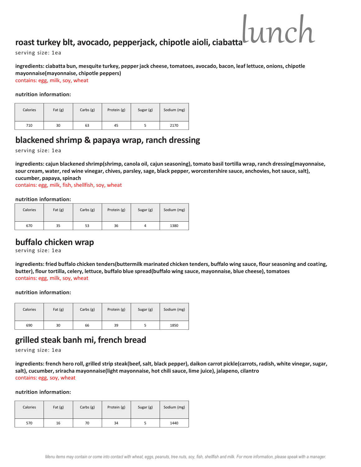## **roast turkey blt, avocado, pepperjack, chipotle aioli, ciabatta** lunch

serving size: 1ea

#### **ingredients: ciabatta bun, mesquite turkey, pepper jack cheese, tomatoes, avocado, bacon, leaf lettuce, onions, chipotle mayonnaise(mayonnaise, chipotle peppers)**

contains: egg, milk, soy, wheat

**nutrition information:**

| Calories | Fat $(g)$ | Carbs $(g)$ | Protein (g) | Sugar (g) | Sodium (mg) |
|----------|-----------|-------------|-------------|-----------|-------------|
| 710      | 30        | 63          | 45          |           | 2170        |

## **blackened shrimp & papaya wrap, ranch dressing**

serving size: 1ea

**ingredients: cajun blackened shrimp(shrimp, canola oil, cajun seasoning), tomato basil tortilla wrap, ranch dressing(mayonnaise, sour cream, water, red wine vinegar, chives, parsley, sage, black pepper, worcestershire sauce, anchovies, hot sauce, salt), cucumber, papaya, spinach**

contains: egg, milk, fish, shellfish, soy, wheat

**nutrition information:**

| Calories | Fat $(g)$ | Carbs $(g)$ | Protein (g) | Sugar (g) | Sodium (mg) |
|----------|-----------|-------------|-------------|-----------|-------------|
| 670      | 35        | 53          | 36          | 4         | 1380        |

## **buffalo chicken wrap**

serving size: 1ea

**ingredients: fried buffalo chicken tenders(buttermilk marinated chicken tenders, buffalo wing sauce, flour seasoning and coating, butter), flour tortilla, celery, lettuce, buffalo blue spread(buffalo wing sauce, mayonnaise, blue cheese), tomatoes**  contains: egg, milk, soy, wheat

**nutrition information:**

| Calories | Fat $(g)$ | Carbs $(g)$ | Protein (g) | Sugar (g) | Sodium (mg) |
|----------|-----------|-------------|-------------|-----------|-------------|
| 690      | 30        | 66          | 39          |           | 1850        |

## **grilled steak banh mi, french bread**

serving size: 1ea

**ingredients: french hero roll, grilled strip steak(beef, salt, black pepper), daikon carrot pickle(carrots, radish, white vinegar, sugar, salt), cucumber, sriracha mayonnaise(light mayonnaise, hot chili sauce, lime juice), jalapeno, cilantro**  contains: egg, soy, wheat

| Calories | Fat $(g)$ | Carbs $(g)$ | Protein (g) | Sugar (g) | Sodium (mg) |
|----------|-----------|-------------|-------------|-----------|-------------|
| 570      | 16        | 70          | 34          |           | 1440        |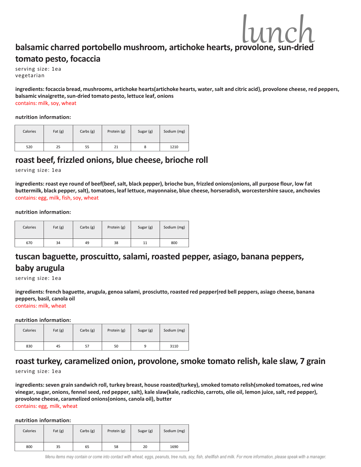## **balsamic charred portobello mushroom, artichoke hearts, provolone, sun-dried tomato pesto, focaccia**

serving size: 1ea vegetarian

**ingredients: focaccia bread, mushrooms, artichoke hearts(artichoke hearts, water, salt and citric acid}, provolone cheese, red peppers, balsamic vinaigrette, sun-dried tomato pesto, lettuce leaf, onions**  contains: milk, soy, wheat

#### **nutrition information:**

| Calories | Fat $(g)$ | Carbs $(g)$ | Protein (g) | Sugar (g) | Sodium (mg) |
|----------|-----------|-------------|-------------|-----------|-------------|
| 520      | 25        | 55          | 21          | 8         | 1210        |

## **roast beef, frizzled onions, blue cheese, brioche roll**

serving size: 1ea

**ingredients: roast eye round of beef(beef, salt, black pepper), brioche bun, frizzled onions(onions, all purpose flour, low fat buttermilk, black pepper, salt), tomatoes, leaf lettuce, mayonnaise, blue cheese, horseradish, worcestershire sauce, anchovies** contains: egg, milk, fish, soy, wheat

#### **nutrition information:**

| Calories | Fat $(g)$ | Carbs $(g)$ | Protein (g) | Sugar (g) | Sodium (mg) |
|----------|-----------|-------------|-------------|-----------|-------------|
| 670      | 34        | 49          | 38          | 11        | 800         |

## **tuscan baguette, proscuitto, salami, roasted pepper, asiago, banana peppers, baby arugula**

serving size: 1ea

**ingredients: french baguette, arugula, genoa salami, prosciutto, roasted red pepper(red bell peppers, asiago cheese, banana peppers, basil, canola oil** 

contains: milk, wheat

**nutrition information:**

| Calories | Fat $(g)$ | Carbs $(g)$ | Protein (g) | Sugar (g) | Sodium (mg) |
|----------|-----------|-------------|-------------|-----------|-------------|
| 830      | 45        | 57          | 50          | a         | 3110        |

## **roast turkey, caramelized onion, provolone, smoke tomato relish, kale slaw, 7 grain**

serving size: 1ea

**ingredients: seven grain sandwich roll, turkey breast, house roasted(turkey), smoked tomato relish(smoked tomatoes, red wine vinegar, sugar, onions, fennel seed, red pepper, salt), kale slaw(kale, radicchio, carrots, olie oil, lemon juice, salt, red pepper), provolone cheese, caramelized onions(onions, canola oil), butter** 

contains: egg, milk, wheat

| Calories | Fat $(g)$ | Carbs $(g)$ | Protein (g) | Sugar (g) | Sodium (mg) |
|----------|-----------|-------------|-------------|-----------|-------------|
| 800      | 35        | 65          | 58          | 20        | 1690        |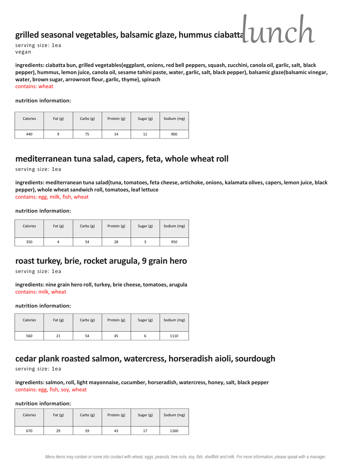## **grilled seasonal vegetables, balsamic glaze, hummus ciabatta** lunch

serving size: 1ea vegan

**ingredients: ciabatta bun, grilled vegetables(eggplant, onions, red bell peppers, squash, zucchini, canola oil, garlic, salt, black pepper), hummus, lemon juice, canola oil, sesame tahini paste, water, garlic, salt, black pepper), balsamic glaze(balsamic vinegar, water, brown sugar, arrowroot flour, garlic, thyme), spinach**  contains: wheat

**nutrition information:**

| Calories | Fat $(g)$ | Carbs $(g)$ | Protein (g) | Sugar (g) | Sodium (mg) |
|----------|-----------|-------------|-------------|-----------|-------------|
| 440      |           | 75          | 14          | 11        | 900         |

## **mediterranean tuna salad, capers, feta, whole wheat roll**

serving size: 1ea

**ingredients: mediterranean tuna salad(tuna, tomatoes, feta cheese, artichoke, onions, kalamata olives, capers, lemon juice, black pepper), whole wheat sandwich roll, tomatoes, leaf lettuce**  contains: egg, milk, fish, wheat

**nutrition information:**

| Calories | Fat $(g)$ | Carbs $(g)$ | Protein (g) | Sugar (g) | Sodium (mg) |
|----------|-----------|-------------|-------------|-----------|-------------|
| 350      |           | 54          | 28          |           | 950         |

## **roast turkey, brie, rocket arugula, 9 grain hero**

serving size: 1ea

**ingredients: nine grain hero roll, turkey, brie cheese, tomatoes, arugula** contains: milk, wheat

#### **nutrition information:**

| Calories | Fat $(g)$ | Carbs $(g)$ | Protein (g) | Sugar (g) | Sodium (mg) |
|----------|-----------|-------------|-------------|-----------|-------------|
| 560      | 21        | 54          | 45          |           | 1110        |

## **cedar plank roasted salmon, watercress, horseradish aioli, sourdough**

serving size: 1ea

**ingredients: salmon, roll, light mayonnaise, cucumber, horseradish, watercress, honey, salt, black pepper**  contains: egg, fish, soy, wheat

| Calories | Fat $(g)$ | Carbs $(g)$ | Protein (g) | Sugar (g) | Sodium (mg) |
|----------|-----------|-------------|-------------|-----------|-------------|
| 670      | 29        | 59          | 43          | 17        | 1260        |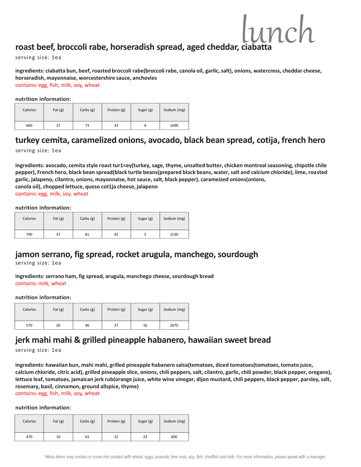## roast beef, broccoli rabe, horseradish spread, aged cheddar, ciabatt

serving size: 1ea

**ingredients: ciabatta bun, beef, roasted broccoli rabe(broccoli rabe, canola oil, garlic, salt), onions, watercress, cheddar cheese, horseradish, mayonnaise, worcestershire sauce, anchovies**  contains: egg, fish, milk, soy, wheat

 $lnmck$ 

**nutrition information:**

| Calories | Fat $(g)$ | Carbs $(g)$ | Protein (g) | Sugar (g) | Sodium (mg) |
|----------|-----------|-------------|-------------|-----------|-------------|
| 660      | 27        | 73          | 33          | 4         | 1690        |

## **turkey cemita, caramelized onions, avocado, black bean spread, cotija, french hero**

serving size: 1ea

**ingredients: avocado, cemita style roast tur1<ey(turkey, sage, thyme, unsalted butter, chicken montrealseasoning, chipotle chile pepper), French hero, black bean spread(black turtle beans(prepared black beans, water, salt and calcium chloride), lime, roasted garlic, jalapeno, cilantro, onions, mayonnaise, hot sauce, salt, black pepper), carameized onions(onions, canola oil), chopped lettuce, queso cot1ja cheese, jalapeno** contains: egg, milk, soy, wheat

#### **nutrition information:**

| Calories | Fat $(g)$ | Carbs $(g)$ | Protein (g) | Sugar (g) | Sodium (mg) |
|----------|-----------|-------------|-------------|-----------|-------------|
| 790      | 37        | 81          | 42          |           | 1530        |

## **jamon serrano, fig spread, rocket arugula, manchego, sourdough**

serving size: 1ea

**ingredients: serrano ham, fig spread, arugula, manchego cheese, sourdough bread** contains: milk, wheat

#### **nutrition information:**

| Calories | Fat $(g)$ | Carbs $(g)$ | Protein (g) | Sugar (g) | Sodium (mg) |
|----------|-----------|-------------|-------------|-----------|-------------|
| 570      | 26        | 46          | 37          | 16        | 2070        |

## **jerk mahi mahi & grilled pineapple habanero, hawaiian sweet bread**

serving size: 1ea

**ingredients: hawaiian bun, mahi mahi, grilled pineapple habanero salsa(tomatoes, diced tomatoes(tomatoes, tomato juice, calcium chloride, citric acid), grilled pineapple slice, onions, chili peppers, salt, cilantro, garlic, chili powder, black pepper, oregano), lettuce leaf, tomatoes, jamaican jerk rub(orange juice, white wine vinegar, dijon mustard, chili peppers, black pepper, parsley, salt, rosemary, basil, cinnamon, ground allspice, thyme)** 

contains: egg, fish, milk, soy, wheat

| Calories | Fat $(g)$ | Carbs $(g)$ | Protein (g) | Sugar (g) | Sodium (mg) |
|----------|-----------|-------------|-------------|-----------|-------------|
| 470      | 10        | 63          | 32          | 23        | 600         |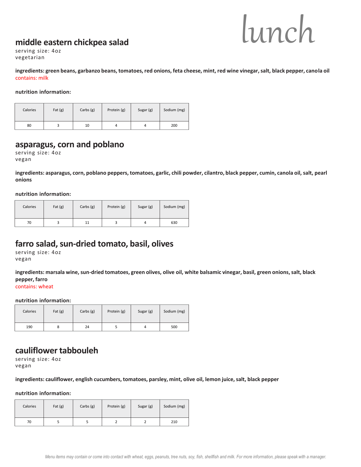## **middle eastern chickpea salad**



serving size: 4oz vegetarian

**ingredients: green beans, garbanzo beans, tomatoes, red onions, feta cheese, mint, red wine vinegar, salt, black pepper, canola oil** contains: milk

**nutrition information:**

| Calories | Fat $(g)$ | Carbs $(g)$ | Protein (g) | Sugar (g) | Sodium (mg) |
|----------|-----------|-------------|-------------|-----------|-------------|
| 80       |           | 10          | 4           |           | 200         |

## **asparagus, corn and poblano**

serving size: 4oz vegan

**ingredients: asparagus, corn, poblano peppers, tomatoes, garlic, chili powder, cilantro, black pepper, cumin, canola oil, salt, pearl onions**

**nutrition information:**

| Calories | Fat $(g)$ | Carbs $(g)$ | Protein (g) | Sugar (g) | Sodium (mg) |
|----------|-----------|-------------|-------------|-----------|-------------|
| 70       |           |             |             | 4         | 630         |

## **farro salad, sun-dried tomato, basil, olives**

serving size: 4oz vegan

**ingredients: marsala wine, sun-dried tomatoes, green olives, olive oil, white balsamic vinegar, basil, green onions, salt, black pepper, farro** contains: wheat

**nutrition information:**

| Calories | Fat $(g)$ | Carbs $(g)$ | Protein (g) | Sugar (g) | Sodium (mg) |
|----------|-----------|-------------|-------------|-----------|-------------|
| 190      |           | 24          |             |           | 500         |

## **cauliflower tabbouleh**

serving size: 4oz vegan

**ingredients: cauliflower, english cucumbers, tomatoes, parsley, mint, olive oil, lemon juice, salt, black pepper**

| Calories | Fat $(g)$ | Carbs $(g)$ | Protein (g) | Sugar (g) | Sodium (mg) |
|----------|-----------|-------------|-------------|-----------|-------------|
| 70       |           |             |             |           | 210         |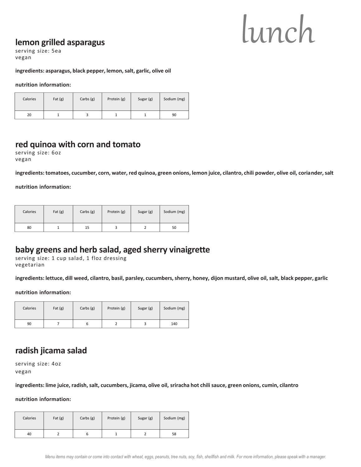## **lemon grilled asparagus**

serving size: 5ea vegan

#### **ingredients: asparagus, black pepper, lemon, salt, garlic, olive oil**

#### **nutrition information:**

| Calories | Fat $(g)$ | Carbs $(g)$ | Protein (g) | Sugar (g) | Sodium (mg) |
|----------|-----------|-------------|-------------|-----------|-------------|
| 20       |           |             |             |           | 90          |

#### **red quinoa with corn and tomato**

serving size: 6oz vegan

**ingredients: tomatoes, cucumber, corn, water, red quinoa, green onions, lemon juice, cilantro, chili powder, olive oil, coriander, salt** 

#### **nutrition information:**

| Calories | Fat $(g)$ | Carbs $(g)$ | Protein (g) | Sugar (g) | Sodium (mg) |
|----------|-----------|-------------|-------------|-----------|-------------|
| 80       |           | 15          |             |           | 50          |

### **baby greens and herb salad, aged sherry vinaigrette**

serving size: 1 cup salad, 1 floz dressing vegetarian

**ingredients: lettuce, dill weed, cilantro, basil, parsley, cucumbers, sherry, honey, dijon mustard, olive oil, salt, black pepper, garlic**

#### **nutrition information:**

| Calories | Fat $(g)$ | Carbs $(g)$ | Protein (g) | Sugar (g) | Sodium (mg) |
|----------|-----------|-------------|-------------|-----------|-------------|
| 90       |           |             |             |           | 140         |

#### **radish jicama salad**

serving size: 4oz vegan

**ingredients: lime juice, radish, salt, cucumbers, jicama, olive oil, sriracha hot chili sauce, green onions, cumin, cilantro**

| Calories | Fat $(g)$ | Carbs $(g)$ | Protein (g) | Sugar (g) | Sodium (mg) |
|----------|-----------|-------------|-------------|-----------|-------------|
| 40       |           |             |             |           | 58          |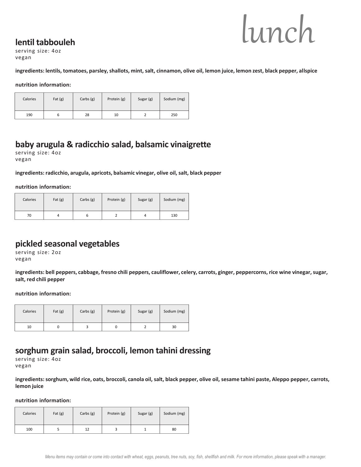## **lentil tabbouleh**



serving size: 4oz vegan

**ingredients: lentils, tomatoes, parsley, shallots, mint, salt, cinnamon, olive oil, lemon juice, lemon zest, black pepper, allspice**

**nutrition information:**

| Calories | Fat $(g)$ | Carbs $(g)$ | Protein (g) | Sugar (g) | Sodium (mg) |
|----------|-----------|-------------|-------------|-----------|-------------|
| 190      |           | 28          | 10          |           | 250         |

## **baby arugula & radicchio salad, balsamic vinaigrette**

serving size: 4oz vegan

#### **ingredients: radicchio, arugula, apricots, balsamic vinegar, olive oil, salt, black pepper**

**nutrition information:**

| Calories | Fat $(g)$ | Carbs $(g)$ | Protein (g) | Sugar (g) | Sodium (mg) |
|----------|-----------|-------------|-------------|-----------|-------------|
| 70       |           |             |             |           | 130         |

## **pickled seasonal vegetables**

serving size: 2oz vegan

**ingredients: bell peppers, cabbage, fresno chili peppers, cauliflower, celery, carrots, ginger, peppercorns, rice wine vinegar, sugar, salt, red chili pepper**

**nutrition information:**

| Calories | Fat $(g)$ | Carbs $(g)$ | Protein (g) | Sugar (g) | Sodium (mg) |
|----------|-----------|-------------|-------------|-----------|-------------|
| 10       |           |             |             |           | 30          |

## **sorghum grain salad, broccoli, lemon tahini dressing**

serving size: 4oz vegan

**ingredients: sorghum, wild rice, oats, broccoli, canola oil, salt, black pepper, olive oil, sesame tahini paste, Aleppo pepper, carrots, lemon juice** 

| Calories | Fat $(g)$ | Carbs $(g)$ | Protein (g) | Sugar (g) | Sodium (mg) |
|----------|-----------|-------------|-------------|-----------|-------------|
| 100      |           | 12          |             |           | 80          |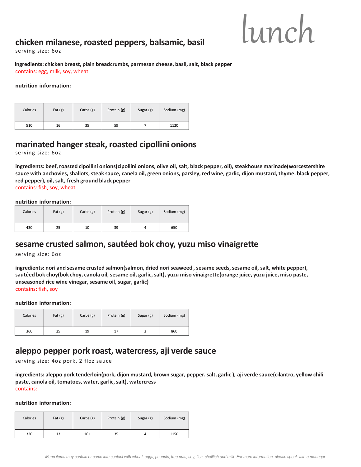## **chicken milanese, roasted peppers, balsamic, basil**



serving size: 6oz

**ingredients: chicken breast, plain breadcrumbs, parmesan cheese, basil, salt, black pepper** contains: egg, milk, soy, wheat

**nutrition information:**

| Calories | Fat $(g)$ | Carbs $(g)$ | Protein (g) | Sugar (g) | Sodium (mg) |
|----------|-----------|-------------|-------------|-----------|-------------|
| 510      | 16        | 35          | 59          |           | 1120        |

## **marinated hanger steak, roasted cipollini onions**

serving size: 6oz

**ingredients: beef, roasted cipollini onions(cipollini onions, olive oil, salt, black pepper, oil), steakhouse marinade(worcestershire sauce with anchovies, shallots, steak sauce, canela oil, green onions, parsley, red wine, garlic, dijon mustard, thyme. black pepper, red pepper), oil, salt, fresh ground black pepper** 

contains: fish, soy, wheat

**nutrition information:**

| Calories | Fat $(g)$ | Carbs $(g)$ | Protein (g) | Sugar (g) | Sodium (mg) |
|----------|-----------|-------------|-------------|-----------|-------------|
| 430      | 25        | 10          | 39          | 4         | 650         |

## **sesame crusted salmon, sautéed bok choy, yuzu miso vinaigrette**

serving size: 6oz

**ingredients: nori and sesame crusted salmon(salmon, dried nori seaweed , sesame seeds, sesame oil, salt, white pepper), sautéed bok choy(bok choy, canola oil, sesame oil, garlic, salt), yuzu miso vinaigrette(orange juice, yuzu juice, miso paste, unseasoned rice wine vinegar, sesame oil, sugar, garlic)**  contains: fish, soy

**nutrition information:**

| Calories | Fat $(g)$ | Carbs $(g)$ | Protein (g) | Sugar (g) | Sodium (mg) |
|----------|-----------|-------------|-------------|-----------|-------------|
| 360      | 25        | 19          | 17          |           | 860         |

## **aleppo pepper pork roast, watercress, aji verde sauce**

serving size: 4oz pork, 2 floz sauce

**ingredients: aleppo pork tenderloin(pork, dijon mustard, brown sugar, pepper. salt, garlic ), aji verde sauce(cilantro, yellow chili paste, canola oil, tomatoes, water, garlic, salt), watercress**  contains:

| Calories | Fat $(g)$ | Carbs $(g)$ | Protein (g) | Sugar (g) | Sodium (mg) |
|----------|-----------|-------------|-------------|-----------|-------------|
| 320      | 13        | $16+$       | 35          | 4         | 1150        |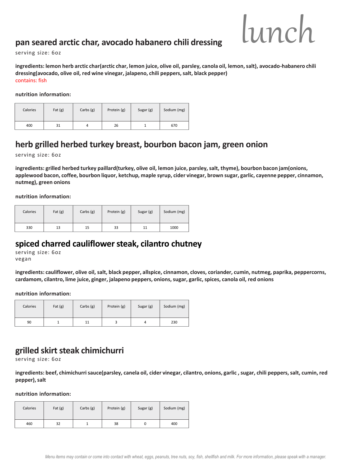## **pan seared arctic char, avocado habanero chili dressing**

serving size: 6oz

**ingredients: lemon herb arctic char(arctic char, lemon juice, olive oil, parsley, canola oil, lemon, salt), avocado-habanero chili dressing(avocado, olive oil, red wine vinegar, jalapeno, chili peppers, salt, black pepper)**  contains: fish

**nutrition information:**

| Calories | Fat $(g)$ | Carbs $(g)$ | Protein (g) | Sugar (g) | Sodium (mg) |
|----------|-----------|-------------|-------------|-----------|-------------|
| 400      | 31        |             | 26          |           | 670         |

## **herb grilled herbed turkey breast, bourbon bacon jam, green onion**

serving size: 6oz

**ingredients: grilled herbed turkey paillard(turkey, olive oil, lemon juice, parsley, salt, thyme), bourbon bacon jam(onions, applewood bacon, coffee, bourbon liquor, ketchup, maple syrup, cider vinegar, brown sugar, garlic, cayenne pepper, cinnamon, nutmeg), green onions**

**nutrition information:**

| Calories | Fat $(g)$ | Carbs $(g)$ | Protein (g) | Sugar (g) | Sodium (mg) |
|----------|-----------|-------------|-------------|-----------|-------------|
| 330      | 13        | 15          | 33          | 11        | 1000        |

## **spiced charred cauliflower steak, cilantro chutney**

serving size: 6oz vegan

**ingredients: cauliflower, olive oil, salt, black pepper, allspice, cinnamon, cloves, coriander, cumin, nutmeg, paprika, peppercorns, cardamom, cilantro, lime juice, ginger, jalapeno peppers, onions, sugar, garlic, spices, canola oil, red onions**

**nutrition information:**

| Calories | Fat $(g)$ | Carbs $(g)$ | Protein (g) | Sugar (g) | Sodium (mg) |
|----------|-----------|-------------|-------------|-----------|-------------|
| 90       |           | 11          |             | 4         | 230         |

## **grilled skirt steak chimichurri**

serving size: 6oz

**ingredients: beef, chimichurri sauce(parsley, canela oil, cider vinegar, cilantro, onions, garlic , sugar, chili peppers, salt, cumin, red pepper), salt** 

| Calories | Fat $(g)$ | Carbs $(g)$ | Protein (g) | Sugar (g) | Sodium (mg) |
|----------|-----------|-------------|-------------|-----------|-------------|
| 460      | 32        |             | 38          |           | 400         |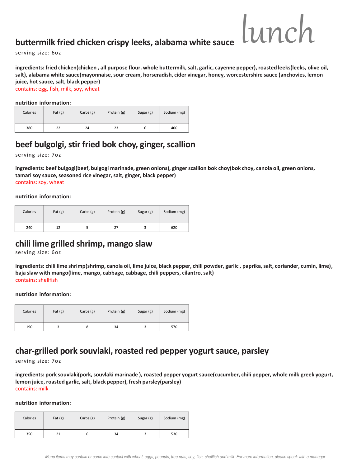## **buttermilk fried chicken crispy leeks, alabama white sauce**

lunch

serving size: 6oz

**ingredients: fried chicken(chicken , all purpose flour. whole buttermilk, salt, garlic, cayenne pepper), roasted leeks(leeks, olive oil, salt), alabama white sauce(mayonnaise, sour cream, horseradish, cider vinegar, honey, worcestershire sauce (anchovies, lemon juice, hot sauce, salt, black pepper)** 

contains: egg, fish, milk, soy, wheat

**nutrition information:**

| Calories | Fat $(g)$ | Carbs $(g)$ | Protein (g) | Sugar (g) | Sodium (mg) |
|----------|-----------|-------------|-------------|-----------|-------------|
| 380      | 22        | 24          | 23          |           | 400         |

## **beef bulgolgi, stir fried bok choy, ginger, scallion**

serving size: 7oz

**ingredients: beef bulgogi(beef, bulgogi marinade, green onions), ginger scallion bok choy(bok choy, canola oil, green onions, tamari soy sauce, seasoned rice vinegar, salt, ginger, black pepper)**  contains: soy, wheat

**nutrition information:**

| Calories | Fat $(g)$ | Carbs $(g)$ | Protein (g) | Sugar (g) | Sodium (mg) |
|----------|-----------|-------------|-------------|-----------|-------------|
| 240      | 12        |             | 27          |           | 620         |

## **chili lime grilled shrimp, mango slaw**

serving size: 6oz

**ingredients: chili lime shrimp(shrimp, canola oil, lime juice, black pepper, chili powder, garlic , paprika, salt, coriander, cumin, lime), baja slaw with mango(lime, mango, cabbage, cabbage, chili peppers, cilantro, salt)**  contains: shellfish

**nutrition information:**

| Calories | Fat $(g)$ | Carbs $(g)$ | Protein (g) | Sugar (g) | Sodium (mg) |
|----------|-----------|-------------|-------------|-----------|-------------|
| 190      |           | ۰           | 34          |           | 570         |

## **char-grilled pork souvlaki, roasted red pepper yogurt sauce, parsley**

serving size: 7oz

**ingredients: pork souvlaki(pork, souvlaki marinade ), roasted pepper yogurt sauce(cucumber, chili pepper, whole milk greek yogurt, lemon juice, roasted garlic, salt, black pepper), fresh parsley(parsley)**  contains: milk

| Calories | Fat $(g)$ | Carbs $(g)$ | Protein (g) | Sugar (g) | Sodium (mg) |
|----------|-----------|-------------|-------------|-----------|-------------|
| 350      | 21        |             | 34          |           | 530         |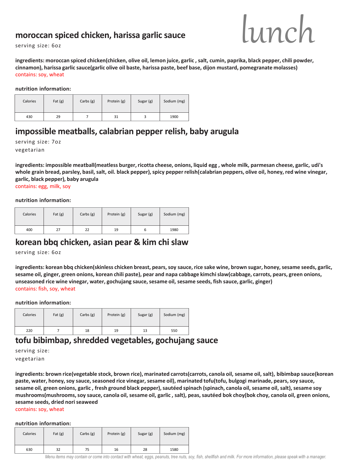### **moroccan spiced chicken, harissa garlic sauce**



serving size: 6oz

**ingredients: moroccan spiced chicken(chicken, olive oil, lemon juice, garlic , salt, cumin, paprika, black pepper, chili powder, cinnamon), harissa garlic sauce(garlic olive oil baste, harissa paste, beef base, dijon mustard, pomegranate molasses)**  contains: soy, wheat

**nutrition information:**

| Calories | Fat $(g)$ | Carbs $(g)$ | Protein (g) | Sugar (g) | Sodium (mg) |
|----------|-----------|-------------|-------------|-----------|-------------|
| 430      | 29        |             | 31          |           | 1900        |

## **impossible meatballs, calabrian pepper relish, baby arugula**

serving size: 7oz vegetarian

**ingredients: impossible meatball(meatless burger, ricotta cheese, onions, liquid egg , whole milk, parmesan cheese, garlic, udi's whole grain bread, parsley, basil, salt, oil. black pepper), spicy pepper relish(calabrian peppers, olive oil, honey, red wine vinegar, garlic, black pepper), baby arugula**

contains: egg, milk, soy

#### **nutrition information:**

| Calories | Fat $(g)$ | Carbs $(g)$ | Protein (g) | Sugar (g) | Sodium (mg) |
|----------|-----------|-------------|-------------|-----------|-------------|
| 400      | 27        | 22          | 19          | ь         | 1980        |

## **korean bbq chicken, asian pear & kim chi slaw**

serving size: 6oz

**ingredients: korean bbq chicken(skinless chicken breast, pears, soy sauce, rice sake wine, brown sugar, honey, sesame seeds, garlic, sesame oil, ginger, green onions, korean chili paste), pear and napa cabbage kimchi slaw(cabbage, carrots, pears, green onions, unseasoned rice wine vinegar, water, gochujang sauce, sesame oil, sesame seeds, fish sauce, garlic, ginger)**  contains: fish, soy, wheat

**nutrition information:**

| Calories | Fat $(g)$ | Carbs $(g)$ | Protein (g) | Sugar (g) | Sodium (mg) |
|----------|-----------|-------------|-------------|-----------|-------------|
| 220      |           | 18          | 19          | 13        | 550         |

## **tofu bibimbap, shredded vegetables, gochujang sauce**

serving size:

vegetarian

**ingredients: brown rice(vegetable stock, brown rice), marinated carrots(carrots, canola oil, sesame oil, salt), bibimbap sauce(korean paste, water, honey, soy sauce, seasoned rice vinegar, sesame oil), marinated tofu(tofu, bulgogi marinade, pears, soy sauce, sesame oil, green onions, garlic , fresh ground black pepper), sautéed spinach (spinach, canola oil, sesame oil, salt), sesame soy mushrooms(mushrooms, soy sauce, canola oil, sesame oil, garlic , salt), peas, sautéed bok choy(bok choy, canola oil, green onions, sesame seeds, dried noriseaweed** 

contains: soy, wheat

#### **nutrition information:**

| Calories | Fat $(g)$ | Carbs $(g)$ | Protein (g) | Sugar (g) | Sodium (mg) |
|----------|-----------|-------------|-------------|-----------|-------------|
| 630      | 32        | 75          | 16          | 28        | 1580        |

*Menu items may contain or come into contact with wheat, eggs, peanuts, tree nuts, soy, fish, shellfish and milk. For more information, please speak with a manager.*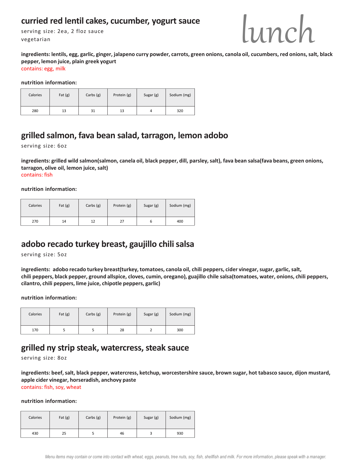## curried red lentil cakes, cucumber, yogurt sauce

serving size: 2ea, 2 floz sauce vegetarian



**ingredients: lentils, egg, garlic, ginger, jalapeno curry powder, carrots, green onions, canola oil, cucumbers, red onions, salt, black pepper, lemon juice, plain greek yogurt** contains: egg, milk

**nutrition information:**

| Calories | Fat $(g)$ | Carbs $(g)$ | Protein (g) | Sugar (g) | Sodium (mg) |
|----------|-----------|-------------|-------------|-----------|-------------|
| 280      | 13        | 31          | 13          | 4         | 320         |

## **grilled salmon, fava bean salad, tarragon, lemon adobo**

serving size: 6oz

**ingredients: grilled wild salmon(salmon, canela oil, black pepper, dill, parsley, salt), fava bean salsa(fava beans, green onions, tarragon, olive oil, lemon juice, salt)**  contains: fish

**nutrition information:**

| Calories | Fat $(g)$ | Carbs (g) | Protein (g) | Sugar (g) | Sodium (mg) |
|----------|-----------|-----------|-------------|-----------|-------------|
| 270      | 14        | 12        | 27          |           | 400         |

## **adobo recado turkey breast, gaujillo chili salsa**

serving size: 5oz

**ingredients: adobo recado turkey breast(turkey, tomatoes, canola oil, chili peppers, cider vinegar, sugar, garlic, salt, chili peppers, black pepper, ground allspice, cloves, cumin, oregano), guajillo chile salsa(tomatoes, water, onions, chili peppers, cilantro, chili peppers, lime juice, chipotle peppers, garlic)** 

**nutrition information:**

| Calories | Fat $(g)$ | Carbs $(g)$ | Protein (g) | Sugar (g) | Sodium (mg) |
|----------|-----------|-------------|-------------|-----------|-------------|
| 170      |           |             | 28          |           | 300         |

## **grilled ny strip steak, watercress, steak sauce**

serving size: 8oz

**ingredients: beef, salt, black pepper, watercress, ketchup, worcestershire sauce, brown sugar, hot tabasco sauce, dijon mustard, apple cider vinegar, horseradish, anchovy paste** contains: fish, soy, wheat

| Calories | Fat $(g)$ | Carbs $(g)$ | Protein (g) | Sugar (g) | Sodium (mg) |
|----------|-----------|-------------|-------------|-----------|-------------|
| 430      | 25        |             | 46          |           | 930         |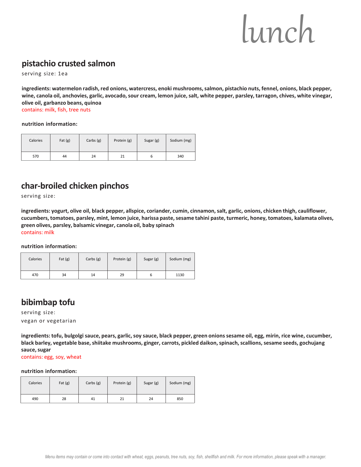## **pistachio crusted salmon**

serving size: 1ea

**ingredients: watermelon radish, red onions, watercress, enoki mushrooms, salmon, pistachio nuts, fennel, onions, black pepper, wine, canola oil, anchovies, garlic, avocado, sour cream, lemon juice, salt, white pepper, parsley, tarragon, chives, white vinegar, olive oil, garbanzo beans, quinoa**

contains: milk, fish, tree nuts

**nutrition information:**

| Calories | Fat $(g)$ | Carbs $(g)$ | Protein (g) | Sugar (g) | Sodium (mg) |
|----------|-----------|-------------|-------------|-----------|-------------|
| 570      | 44        | 24          | 21          | ь         | 340         |

## **char-broiled chicken pinchos**

serving size:

**ingredients: yogurt, olive oil, black pepper, allspice, coriander, cumin, cinnamon, salt, garlic, onions, chicken thigh, cauliflower, cucumbers, tomatoes, parsley, mint, lemon juice, harissa paste, sesame tahini paste, turmeric, honey, tomatoes, kalamata olives, green olives, parsley, balsamic vinegar, canola oil, baby spinach**  contains: milk

**nutrition information:**

| Calories | Fat $(g)$ | Carbs $(g)$ | Protein (g) | Sugar (g) | Sodium (mg) |
|----------|-----------|-------------|-------------|-----------|-------------|
| 470      | 34        | 14          | 29          | o         | 1130        |

## **bibimbap tofu**

serving size: vegan or vegetarian

**ingredients: tofu, bulgolgi sauce, pears, garlic, soy sauce, black pepper, green onions sesame oil, egg, mirin, rice wine, cucumber, black barley, vegetable base, shiitake mushrooms, ginger, carrots, pickled daikon, spinach, scallions, sesame seeds, gochujang sauce, sugar**

contains: egg, soy, wheat

| Calories | Fat $(g)$ | Carbs $(g)$ | Protein (g) | Sugar (g) | Sodium (mg) |
|----------|-----------|-------------|-------------|-----------|-------------|
| 490      | 28        | 41          | 21          | 24        | 850         |